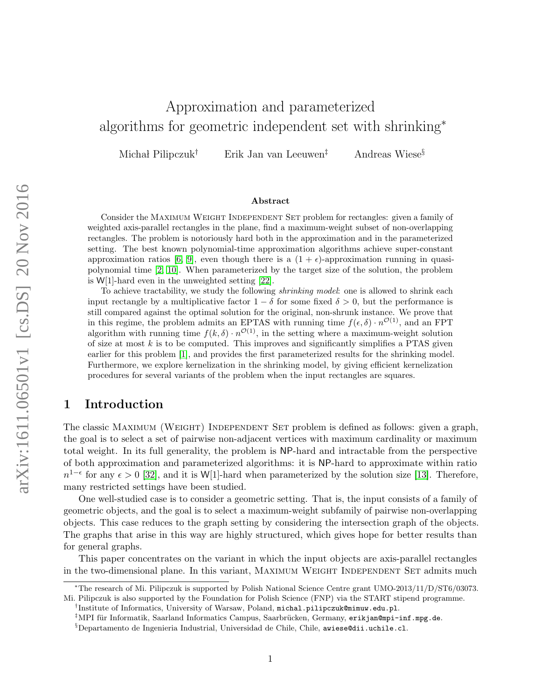# Approximation and parameterized algorithms for geometric independent set with shrinking<sup>∗</sup>

Michał Pilipczuk<sup>†</sup> Erik Jan van Leeuwen<sup>‡</sup> Andreas Wiese<sup>§</sup>

#### Abstract

Consider the MAXIMUM WEIGHT INDEPENDENT SET problem for rectangles: given a family of weighted axis-parallel rectangles in the plane, find a maximum-weight subset of non-overlapping rectangles. The problem is notoriously hard both in the approximation and in the parameterized setting. The best known polynomial-time approximation algorithms achieve super-constant approximation ratios [\[6,](#page-23-0) [9\]](#page-24-0), even though there is a  $(1 + \epsilon)$ -approximation running in quasipolynomial time [\[2,](#page-23-1) [10\]](#page-24-1). When parameterized by the target size of the solution, the problem is W[1]-hard even in the unweighted setting [\[22\]](#page-24-2).

To achieve tractability, we study the following shrinking model: one is allowed to shrink each input rectangle by a multiplicative factor  $1 - \delta$  for some fixed  $\delta > 0$ , but the performance is still compared against the optimal solution for the original, non-shrunk instance. We prove that in this regime, the problem admits an EPTAS with running time  $f(\epsilon, \delta) \cdot n^{\mathcal{O}(1)}$ , and an FPT algorithm with running time  $f(k,\delta) \cdot n^{\mathcal{O}(1)}$ , in the setting where a maximum-weight solution of size at most  $k$  is to be computed. This improves and significantly simplifies a PTAS given earlier for this problem [\[1\]](#page-23-2), and provides the first parameterized results for the shrinking model. Furthermore, we explore kernelization in the shrinking model, by giving efficient kernelization procedures for several variants of the problem when the input rectangles are squares.

# 1 Introduction

The classic Maximum (Weight) Independent Set problem is defined as follows: given a graph, the goal is to select a set of pairwise non-adjacent vertices with maximum cardinality or maximum total weight. In its full generality, the problem is NP-hard and intractable from the perspective of both approximation and parameterized algorithms: it is NP-hard to approximate within ratio  $n^{1-\epsilon}$  for any  $\epsilon > 0$  [\[32\]](#page-24-3), and it is W[1]-hard when parameterized by the solution size [\[13\]](#page-24-4). Therefore, many restricted settings have been studied.

One well-studied case is to consider a geometric setting. That is, the input consists of a family of geometric objects, and the goal is to select a maximum-weight subfamily of pairwise non-overlapping objects. This case reduces to the graph setting by considering the intersection graph of the objects. The graphs that arise in this way are highly structured, which gives hope for better results than for general graphs.

This paper concentrates on the variant in which the input objects are axis-parallel rectangles in the two-dimensional plane. In this variant, MAXIMUM WEIGHT INDEPENDENT SET admits much

<sup>∗</sup>The research of Mi. Pilipczuk is supported by Polish National Science Centre grant UMO-2013/11/D/ST6/03073. Mi. Pilipczuk is also supported by the Foundation for Polish Science (FNP) via the START stipend programme.

<sup>†</sup> Institute of Informatics, University of Warsaw, Poland, michal.pilipczuk@mimuw.edu.pl.

<sup>&</sup>lt;sup>‡</sup>MPI für Informatik, Saarland Informatics Campus, Saarbrücken, Germany, erikjan@mpi-inf.mpg.de.

<sup>§</sup>Departamento de Ingenieria Industrial, Universidad de Chile, Chile, awiese@dii.uchile.cl.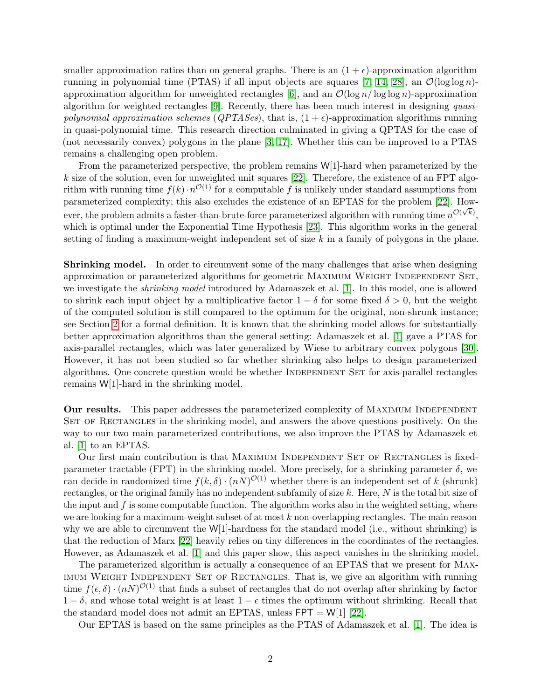smaller approximation ratios than on general graphs. There is an  $(1 + \epsilon)$ -approximation algorithm running in polynomial time (PTAS) if all input objects are squares [\[7,](#page-23-3) [14,](#page-24-5) [28\]](#page-24-6), an  $\mathcal{O}(\log \log n)$ approximation algorithm for unweighted rectangles  $[6]$ , and an  $\mathcal{O}(\log n / \log \log n)$ -approximation algorithm for weighted rectangles [\[9\]](#page-24-0). Recently, there has been much interest in designing quasipolynomial approximation schemes ( $QPTASEs$ ), that is,  $(1+\epsilon)$ -approximation algorithms running in quasi-polynomial time. This research direction culminated in giving a QPTAS for the case of (not necessarily convex) polygons in the plane [\[3,](#page-23-4) [17\]](#page-24-7). Whether this can be improved to a PTAS remains a challenging open problem.

From the parameterized perspective, the problem remains W[1]-hard when parameterized by the  $k$  size of the solution, even for unweighted unit squares [\[22\]](#page-24-2). Therefore, the existence of an FPT algorithm with running time  $f(k) \cdot n^{\mathcal{O}(1)}$  for a computable f is unlikely under standard assumptions from parameterized complexity; this also excludes the existence of an EPTAS for the problem [\[22\]](#page-24-2). Howparameterized complexity, this also excludes the existence of an ET 1115 for the problem  $[22]$ . How-<br>ever, the problem admits a faster-than-brute-force parameterized algorithm with running time  $n^{\mathcal{O}(\sqrt{k})}$ , which is optimal under the Exponential Time Hypothesis [\[23\]](#page-24-8). This algorithm works in the general setting of finding a maximum-weight independent set of size  $k$  in a family of polygons in the plane.

Shrinking model. In order to circumvent some of the many challenges that arise when designing approximation or parameterized algorithms for geometric MAXIMUM WEIGHT INDEPENDENT SET, we investigate the shrinking model introduced by Adamaszek et al. [\[1\]](#page-23-2). In this model, one is allowed to shrink each input object by a multiplicative factor  $1 - \delta$  for some fixed  $\delta > 0$ , but the weight of the computed solution is still compared to the optimum for the original, non-shrunk instance; see Section [2](#page-3-0) for a formal definition. It is known that the shrinking model allows for substantially better approximation algorithms than the general setting: Adamaszek et al. [\[1\]](#page-23-2) gave a PTAS for axis-parallel rectangles, which was later generalized by Wiese to arbitrary convex polygons [\[30\]](#page-24-9). However, it has not been studied so far whether shrinking also helps to design parameterized algorithms. One concrete question would be whether INDEPENDENT SET for axis-parallel rectangles remains W[1]-hard in the shrinking model.

**Our results.** This paper addresses the parameterized complexity of MAXIMUM INDEPENDENT SET OF RECTANGLES in the shrinking model, and answers the above questions positively. On the way to our two main parameterized contributions, we also improve the PTAS by Adamaszek et al. [\[1\]](#page-23-2) to an EPTAS.

Our first main contribution is that MAXIMUM INDEPENDENT SET OF RECTANGLES is fixedparameter tractable (FPT) in the shrinking model. More precisely, for a shrinking parameter  $\delta$ , we can decide in randomized time  $f(k,\delta) \cdot (nN)^{\mathcal{O}(1)}$  whether there is an independent set of k (shrunk) rectangles, or the original family has no independent subfamily of size k. Here, N is the total bit size of the input and  $f$  is some computable function. The algorithm works also in the weighted setting, where we are looking for a maximum-weight subset of at most  $k$  non-overlapping rectangles. The main reason why we are able to circumvent the  $W[1]$ -hardness for the standard model (i.e., without shrinking) is that the reduction of Marx [\[22\]](#page-24-2) heavily relies on tiny differences in the coordinates of the rectangles. However, as Adamaszek et al. [\[1\]](#page-23-2) and this paper show, this aspect vanishes in the shrinking model.

The parameterized algorithm is actually a consequence of an EPTAS that we present for Maximum Weight Independent Set of Rectangles. That is, we give an algorithm with running time  $f(\epsilon, \delta) \cdot (nN)^{\mathcal{O}(1)}$  that finds a subset of rectangles that do not overlap after shrinking by factor  $1 - \delta$ , and whose total weight is at least  $1 - \epsilon$  times the optimum without shrinking. Recall that the standard model does not admit an EPTAS, unless  $FPT = W[1]$  [\[22\]](#page-24-2).

Our EPTAS is based on the same principles as the PTAS of Adamaszek et al. [\[1\]](#page-23-2). The idea is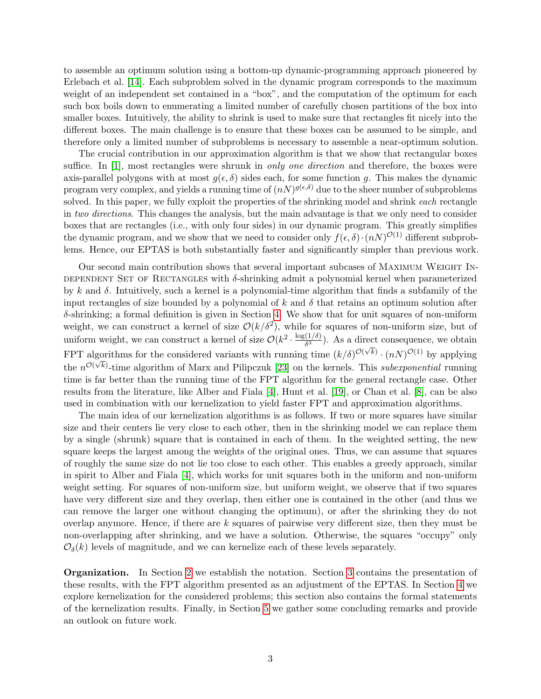to assemble an optimum solution using a bottom-up dynamic-programming approach pioneered by Erlebach et al. [\[14\]](#page-24-5). Each subproblem solved in the dynamic program corresponds to the maximum weight of an independent set contained in a "box", and the computation of the optimum for each such box boils down to enumerating a limited number of carefully chosen partitions of the box into smaller boxes. Intuitively, the ability to shrink is used to make sure that rectangles fit nicely into the different boxes. The main challenge is to ensure that these boxes can be assumed to be simple, and therefore only a limited number of subproblems is necessary to assemble a near-optimum solution.

The crucial contribution in our approximation algorithm is that we show that rectangular boxes suffice. In [\[1\]](#page-23-2), most rectangles were shrunk in *only one direction* and therefore, the boxes were axis-parallel polygons with at most  $g(\epsilon, \delta)$  sides each, for some function g. This makes the dynamic program very complex, and yields a running time of  $(nN)^{g(\epsilon,\delta)}$  due to the sheer number of subproblems solved. In this paper, we fully exploit the properties of the shrinking model and shrink *each* rectangle in two directions. This changes the analysis, but the main advantage is that we only need to consider boxes that are rectangles (i.e., with only four sides) in our dynamic program. This greatly simplifies the dynamic program, and we show that we need to consider only  $f(\epsilon, \delta) \cdot (nN)^{\mathcal{O}(1)}$  different subproblems. Hence, our EPTAS is both substantially faster and significantly simpler than previous work.

Our second main contribution shows that several important subcases of Maximum Weight In-DEPENDENT SET OF RECTANGLES with  $\delta$ -shrinking admit a polynomial kernel when parameterized by k and  $\delta$ . Intuitively, such a kernel is a polynomial-time algorithm that finds a subfamily of the input rectangles of size bounded by a polynomial of k and  $\delta$  that retains an optimum solution after  $\delta$ -shrinking; a formal definition is given in Section [4.](#page-13-0) We show that for unit squares of non-uniform weight, we can construct a kernel of size  $\mathcal{O}(k/\delta^2)$ , while for squares of non-uniform size, but of uniform weight, we can construct a kernel of size  $\mathcal{O}(k^2 \cdot \frac{\log(1/\delta)}{\delta^3})$  $\frac{(1/\delta)}{\delta^3}$ ). As a direct consequence, we obtain FPT algorithms for the considered variants with running time  $(k/\delta)^{\mathcal{O}(\sqrt{k})} \cdot (n)^{\mathcal{O}(1)}$  by applying the  $n^{\mathcal{O}(\sqrt{k})}$ -time algorithm of Marx and Pilipczuk [\[23\]](#page-24-8) on the kernels. This subexponential running time is far better than the running time of the FPT algorithm for the general rectangle case. Other results from the literature, like Alber and Fiala [\[4\]](#page-23-5), Hunt et al. [\[19\]](#page-24-10), or Chan et al. [\[8\]](#page-23-6), can be also used in combination with our kernelization to yield faster FPT and approximation algorithms.

The main idea of our kernelization algorithms is as follows. If two or more squares have similar size and their centers lie very close to each other, then in the shrinking model we can replace them by a single (shrunk) square that is contained in each of them. In the weighted setting, the new square keeps the largest among the weights of the original ones. Thus, we can assume that squares of roughly the same size do not lie too close to each other. This enables a greedy approach, similar in spirit to Alber and Fiala [\[4\]](#page-23-5), which works for unit squares both in the uniform and non-uniform weight setting. For squares of non-uniform size, but uniform weight, we observe that if two squares have very different size and they overlap, then either one is contained in the other (and thus we can remove the larger one without changing the optimum), or after the shrinking they do not overlap anymore. Hence, if there are k squares of pairwise very different size, then they must be non-overlapping after shrinking, and we have a solution. Otherwise, the squares "occupy" only  $\mathcal{O}_{\delta}(k)$  levels of magnitude, and we can kernelize each of these levels separately.

Organization. In Section [2](#page-3-0) we establish the notation. Section [3](#page-3-1) contains the presentation of these results, with the FPT algorithm presented as an adjustment of the EPTAS. In Section [4](#page-13-0) we explore kernelization for the considered problems; this section also contains the formal statements of the kernelization results. Finally, in Section [5](#page-23-7) we gather some concluding remarks and provide an outlook on future work.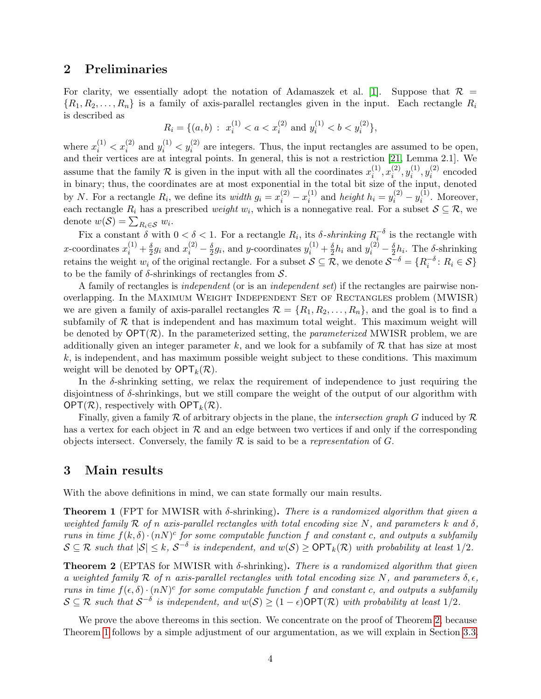# <span id="page-3-0"></span>2 Preliminaries

For clarity, we essentially adopt the notation of Adamaszek et al. [\[1\]](#page-23-2). Suppose that  $\mathcal{R} =$  $\{R_1, R_2, \ldots, R_n\}$  is a family of axis-parallel rectangles given in the input. Each rectangle  $R_i$ is described as

$$
R_i = \{(a, b) : x_i^{(1)} < a < x_i^{(2)} \text{ and } y_i^{(1)} < b < y_i^{(2)}\},
$$

where  $x_i^{(1)} < x_i^{(2)}$  and  $y_i^{(1)} < y_i^{(2)}$  are integers. Thus, the input rectangles are assumed to be open, and their vertices are at integral points. In general, this is not a restriction [\[21,](#page-24-11) Lemma 2.1]. We assume that the family R is given in the input with all the coordinates  $x_i^{(1)}$  $\binom{1}{i}, x_i^{(2)}$  $\binom{2}{i}, y_i^{(1)}$  $\hat{y}_i^{(1)}, y_i^{(2)}$  $i^{(2)}$  encoded in binary; thus, the coordinates are at most exponential in the total bit size of the input, denoted by N. For a rectangle  $R_i$ , we define its *width*  $g_i = x_i^{(2)} - x_i^{(1)}$  $i^{(1)}$  and *height*  $h_i = y_i^{(2)} - y_i^{(1)}$  $i^{(1)}$ . Moreover, each rectangle  $R_i$  has a prescribed *weight*  $w_i$ , which is a nonnegative real. For a subset  $S \subseteq \mathcal{R}$ , we denote  $w(S) = \sum_{R_i \in S} w_i$ .

Fix a constant  $\delta$  with  $0 < \delta < 1$ . For a rectangle  $R_i$ , its  $\delta$ -shrinking  $R_i^{-\delta}$  is the rectangle with i x-coordinates  $x_i^{(1)} + \frac{\delta}{2}$  $\frac{\delta}{2}g_i$  and  $x_i^{(2)} - \frac{\delta}{2}$  $\frac{\delta}{2}g_i$ , and y-coordinates  $y_i^{(1)} + \frac{\delta}{2}$  $\frac{\delta}{2}h_i$  and  $y_i^{(2)} - \frac{\delta}{2}$  $\frac{\delta}{2}h_i$ . The  $\delta$ -shrinking retains the weight  $w_i$  of the original rectangle. For a subset  $S \subseteq \mathcal{R}$ , we denote  $S^{-\delta} = \{R_i^{-\delta} : R_i \in S\}$ to be the family of  $\delta$ -shrinkings of rectangles from  $\mathcal{S}$ .

A family of rectangles is independent (or is an independent set) if the rectangles are pairwise nonoverlapping. In the Maximum Weight Independent Set of Rectangles problem (MWISR) we are given a family of axis-parallel rectangles  $\mathcal{R} = \{R_1, R_2, \ldots, R_n\}$ , and the goal is to find a subfamily of  $R$  that is independent and has maximum total weight. This maximum weight will be denoted by  $\mathsf{OPT}(\mathcal{R})$ . In the parameterized setting, the *parameterized* MWISR problem, we are additionally given an integer parameter k, and we look for a subfamily of  $R$  that has size at most  $k$ , is independent, and has maximum possible weight subject to these conditions. This maximum weight will be denoted by  $\mathsf{OPT}_k(\mathcal{R})$ .

In the  $\delta$ -shrinking setting, we relax the requirement of independence to just requiring the disjointness of  $\delta$ -shrinkings, but we still compare the weight of the output of our algorithm with  $\mathsf{OPT}(\mathcal{R})$ , respectively with  $\mathsf{OPT}_k(\mathcal{R})$ .

Finally, given a family  $R$  of arbitrary objects in the plane, the *intersection graph* G induced by  $R$ has a vertex for each object in  $\mathcal R$  and an edge between two vertices if and only if the corresponding objects intersect. Conversely, the family  $R$  is said to be a *representation* of  $G$ .

## <span id="page-3-1"></span>3 Main results

With the above definitions in mind, we can state formally our main results.

<span id="page-3-3"></span>**Theorem 1** (FPT for MWISR with  $\delta$ -shrinking). There is a randomized algorithm that given a weighted family R of n axis-parallel rectangles with total encoding size N, and parameters k and  $\delta$ , runs in time  $f(k,\delta) \cdot (nN)^c$  for some computable function f and constant c, and outputs a subfamily  $S \subseteq \mathcal{R}$  such that  $|S| \leq k$ ,  $S^{-\delta}$  is independent, and  $w(S) \geq \text{OPT}_k(\mathcal{R})$  with probability at least  $1/2$ .

<span id="page-3-2"></span>**Theorem 2** (EPTAS for MWISR with  $\delta$ -shrinking). There is a randomized algorithm that given a weighted family R of n axis-parallel rectangles with total encoding size N, and parameters  $\delta, \epsilon$ , runs in time  $f(\epsilon, \delta) \cdot (nN)^c$  for some computable function f and constant c, and outputs a subfamily  $S \subseteq \mathcal{R}$  such that  $S^{-\delta}$  is independent, and  $w(S) \geq (1 - \epsilon) \textsf{OPT}(\mathcal{R})$  with probability at least  $1/2$ .

We prove the above thereoms in this section. We concentrate on the proof of Theorem [2,](#page-3-2) because Theorem [1](#page-3-3) follows by a simple adjustment of our argumentation, as we will explain in Section [3.3.](#page-12-0)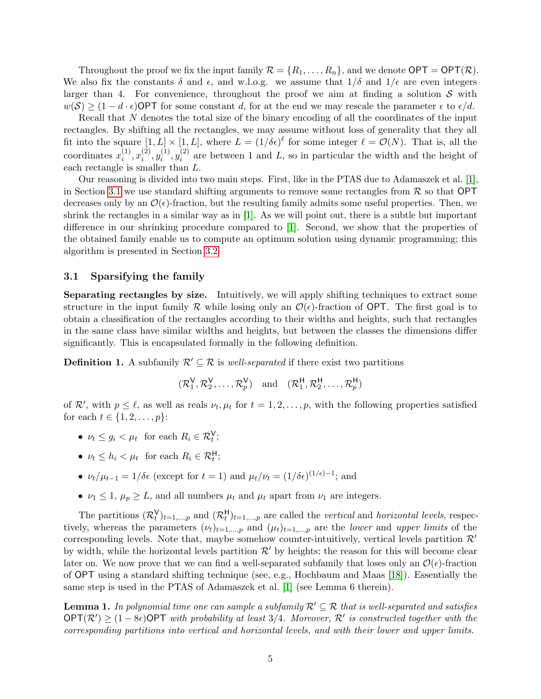Throughout the proof we fix the input family  $\mathcal{R} = \{R_1, \ldots, R_n\}$ , and we denote  $\mathsf{OPT} = \mathsf{OPT}(\mathcal{R})$ . We also fix the constants  $\delta$  and  $\epsilon$ , and w.l.o.g. we assume that  $1/\delta$  and  $1/\epsilon$  are even integers larger than 4. For convenience, throughout the proof we aim at finding a solution  $S$  with  $w(S) \geq (1 - d \cdot \epsilon)$ OPT for some constant d, for at the end we may rescale the parameter  $\epsilon$  to  $\epsilon/d$ .

Recall that N denotes the total size of the binary encoding of all the coordinates of the input rectangles. By shifting all the rectangles, we may assume without loss of generality that they all fit into the square  $[1, L] \times [1, L]$ , where  $L = (1/\delta \epsilon)^{\ell}$  for some integer  $\ell = \mathcal{O}(N)$ . That is, all the coordinates  $x_i^{(1)}$  $\binom{1}{i}, x_i^{(2)}$  $\binom{2}{i}, y_i^{(1)}$  $y_i^{(1)}, y_i^{(2)}$  $i^{(2)}$  are between 1 and L, so in particular the width and the height of each rectangle is smaller than L.

Our reasoning is divided into two main steps. First, like in the PTAS due to Adamaszek et al. [\[1\]](#page-23-2), in Section [3.1](#page-4-0) we use standard shifting arguments to remove some rectangles from  $\mathcal R$  so that OPT decreases only by an  $\mathcal{O}(\epsilon)$ -fraction, but the resulting family admits some useful properties. Then, we shrink the rectangles in a similar way as in  $[1]$ . As we will point out, there is a subtle but important difference in our shrinking procedure compared to [\[1\]](#page-23-2). Second, we show that the properties of the obtained family enable us to compute an optimum solution using dynamic programming; this algorithm is presented in Section [3.2.](#page-8-0)

#### <span id="page-4-0"></span>3.1 Sparsifying the family

Separating rectangles by size. Intuitively, we will apply shifting techniques to extract some structure in the input family R while losing only an  $\mathcal{O}(\epsilon)$ -fraction of OPT. The first goal is to obtain a classification of the rectangles according to their widths and heights, such that rectangles in the same class have similar widths and heights, but between the classes the dimensions differ significantly. This is encapsulated formally in the following definition.

<span id="page-4-2"></span>**Definition 1.** A subfamily  $\mathcal{R}' \subseteq \mathcal{R}$  is well-separated if there exist two partitions

$$
(\mathcal{R}_1^{\mathsf{V}}, \mathcal{R}_2^{\mathsf{V}}, \ldots, \mathcal{R}_p^{\mathsf{V}}) \quad \text{and} \quad (\mathcal{R}_1^{\mathsf{H}}, \mathcal{R}_2^{\mathsf{H}}, \ldots, \mathcal{R}_p^{\mathsf{H}})
$$

of  $\mathcal{R}'$ , with  $p \leq \ell$ , as well as reals  $\nu_t, \mu_t$  for  $t = 1, 2, \ldots, p$ , with the following properties satisfied for each  $t \in \{1, 2, ..., p\}$ :

- $\nu_t \leq g_i < \mu_t$  for each  $R_i \in \mathcal{R}_t^{\mathsf{V}}$ ;
- $\nu_t \leq h_i < \mu_t$  for each  $R_i \in \mathcal{R}_t^{\mathsf{H}}$ ;
- $\nu_t/\mu_{t-1} = 1/\delta \epsilon$  (except for  $t = 1$ ) and  $\mu_t/\nu_t = (1/\delta \epsilon)^{(1/\epsilon)-1}$ ; and
- $\nu_1 \leq 1$ ,  $\mu_p \geq L$ , and all numbers  $\mu_t$  and  $\mu_t$  apart from  $\nu_1$  are integers.

The partitions  $(\mathcal{R}_t^{\mathsf{V}})_{t=1,\dots,p}$  and  $(\mathcal{R}_t^{\mathsf{H}})_{t=1,\dots,p}$  are called the vertical and horizontal levels, respectively, whereas the parameters  $(\nu_t)_{t=1,\dots,p}$  and  $(\mu_t)_{t=1,\dots,p}$  are the *lower* and upper limits of the corresponding levels. Note that, maybe somehow counter-intuitively, vertical levels partition  $\mathcal{R}'$ by width, while the horizontal levels partition  $\mathcal{R}'$  by heights; the reason for this will become clear later on. We now prove that we can find a well-separated subfamily that loses only an  $\mathcal{O}(\epsilon)$ -fraction of OPT using a standard shifting technique (see, e.g., Hochbaum and Maas [\[18\]](#page-24-12)). Essentially the same step is used in the PTAS of Adamaszek et al. [\[1\]](#page-23-2) (see Lemma 6 therein).

<span id="page-4-1"></span>**Lemma 1.** In polynomial time one can sample a subfamily  $\mathcal{R}' \subseteq \mathcal{R}$  that is well-separated and satisfies  $\mathsf{OPT}(\mathcal{R}') \geq (1-8\epsilon) \mathsf{OPT}$  with probability at least 3/4. Moreover,  $\mathcal{R}'$  is constructed together with the corresponding partitions into vertical and horizontal levels, and with their lower and upper limits.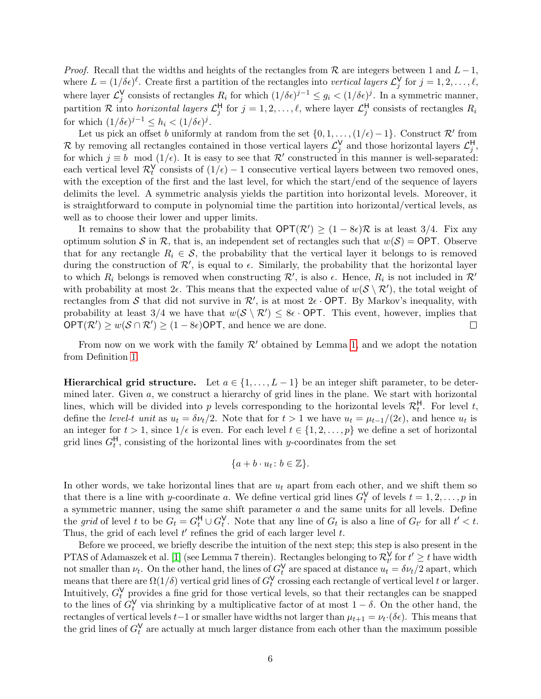*Proof.* Recall that the widths and heights of the rectangles from  $\mathcal R$  are integers between 1 and  $L-1$ , where  $L = (1/\delta \epsilon)^{\ell}$ . Create first a partition of the rectangles into vertical layers  $\mathcal{L}_j^{\mathsf{V}}$  for  $j = 1, 2, \ldots, \ell$ , where layer  $\mathcal{L}_j^{\mathsf{V}}$  consists of rectangles  $R_i$  for which  $(1/\delta \epsilon)^{j-1} \leq g_i < (1/\delta \epsilon)^j$ . In a symmetric manner, partition R into *horizontal layers*  $\mathcal{L}_j^H$  for  $j = 1, 2, ..., \ell$ , where layer  $\mathcal{L}_j^H$  consists of rectangles  $R_i$ for which  $(1/\delta \epsilon)^{j-1} \leq h_i < (1/\delta \epsilon)^j$ .

Let us pick an offset b uniformly at random from the set  $\{0, 1, \ldots, (1/\epsilon) - 1\}$ . Construct  $\mathcal{R}'$  from R by removing all rectangles contained in those vertical layers  $\mathcal{L}_j^{\mathsf{V}}$  and those horizontal layers  $\mathcal{L}_j^{\mathsf{H}}$ , for which  $j \equiv b \mod (1/\epsilon)$ . It is easy to see that  $\mathcal{R}'$  constructed in this manner is well-separated: each vertical level  $\mathcal{R}_t^{\mathsf{V}}$  consists of  $(1/\epsilon) - 1$  consecutive vertical layers between two removed ones, with the exception of the first and the last level, for which the start/end of the sequence of layers delimits the level. A symmetric analysis yields the partition into horizontal levels. Moreover, it is straightforward to compute in polynomial time the partition into horizontal/vertical levels, as well as to choose their lower and upper limits.

It remains to show that the probability that  $\mathsf{OPT}(\mathcal{R}') \geq (1 - 8\epsilon)\mathcal{R}$  is at least 3/4. Fix any optimum solution S in R, that is, an independent set of rectangles such that  $w(S) = \text{OPT}$ . Observe that for any rectangle  $R_i \in \mathcal{S}$ , the probability that the vertical layer it belongs to is removed during the construction of  $\mathcal{R}'$ , is equal to  $\epsilon$ . Similarly, the probability that the horizontal layer to which  $R_i$  belongs is removed when constructing  $\mathcal{R}'$ , is also  $\epsilon$ . Hence,  $R_i$  is not included in  $\mathcal{R}'$ with probability at most  $2\epsilon$ . This means that the expected value of  $w(S \setminus R')$ , the total weight of rectangles from S that did not survive in  $\mathcal{R}'$ , is at most  $2\epsilon$  · OPT. By Markov's inequality, with probability at least 3/4 we have that  $w(S \setminus \mathcal{R}') \leq 8\epsilon \cdot \text{OPT}$ . This event, however, implies that  $OPT(\mathcal{R}') \geq w(\mathcal{S} \cap \mathcal{R}') \geq (1 - 8\epsilon)$ OPT, and hence we are done.  $\Box$ 

From now on we work with the family  $\mathcal{R}'$  obtained by Lemma [1,](#page-4-1) and we adopt the notation from Definition [1.](#page-4-2)

Hierarchical grid structure. Let  $a \in \{1, \ldots, L-1\}$  be an integer shift parameter, to be determined later. Given  $a$ , we construct a hierarchy of grid lines in the plane. We start with horizontal lines, which will be divided into p levels corresponding to the horizontal levels  $\mathcal{R}_t^{\mathsf{H}}$ . For level t, define the level-t unit as  $u_t = \delta \nu_t/2$ . Note that for  $t > 1$  we have  $u_t = \mu_{t-1}/(2\epsilon)$ , and hence  $u_t$  is an integer for  $t > 1$ , since  $1/\epsilon$  is even. For each level  $t \in \{1, 2, ..., p\}$  we define a set of horizontal grid lines  $G_t^{\mathsf{H}}$ , consisting of the horizontal lines with y-coordinates from the set

$$
\{a+b\cdot u_t\colon b\in\mathbb{Z}\}.
$$

In other words, we take horizontal lines that are  $u_t$  apart from each other, and we shift them so that there is a line with y-coordinate a. We define vertical grid lines  $G_t^{\mathsf{V}}$  of levels  $t = 1, 2, \ldots, p$  in a symmetric manner, using the same shift parameter a and the same units for all levels. Define the grid of level t to be  $G_t = G_t^{\mathsf{H}} \cup G_t^{\mathsf{V}}$ . Note that any line of  $G_t$  is also a line of  $G_{t'}$  for all  $t' < t$ . Thus, the grid of each level  $t'$  refines the grid of each larger level  $t$ .

Before we proceed, we briefly describe the intuition of the next step; this step is also present in the PTAS of Adamaszek et al. [\[1\]](#page-23-2) (see Lemma 7 therein). Rectangles belonging to  $\mathcal{R}^{\mathsf{V}}_{t'}$  for  $t' \geq t$  have width not smaller than  $\nu_t$ . On the other hand, the lines of  $G_t^{\mathsf{V}}$  are spaced at distance  $u_t = \delta \nu_t / 2$  apart, which means that there are  $\Omega(1/\delta)$  vertical grid lines of  $G_t^{\vee}$  crossing each rectangle of vertical level t or larger. Intuitively,  $G_t^{\mathsf{V}}$  provides a fine grid for those vertical levels, so that their rectangles can be snapped to the lines of  $G_t^{\vee}$  via shrinking by a multiplicative factor of at most  $1 - \delta$ . On the other hand, the rectangles of vertical levels  $t-1$  or smaller have widths not larger than  $\mu_{t+1} = \nu_t \cdot (\delta \epsilon)$ . This means that the grid lines of  $G_t^{\mathsf{V}}$  are actually at much larger distance from each other than the maximum possible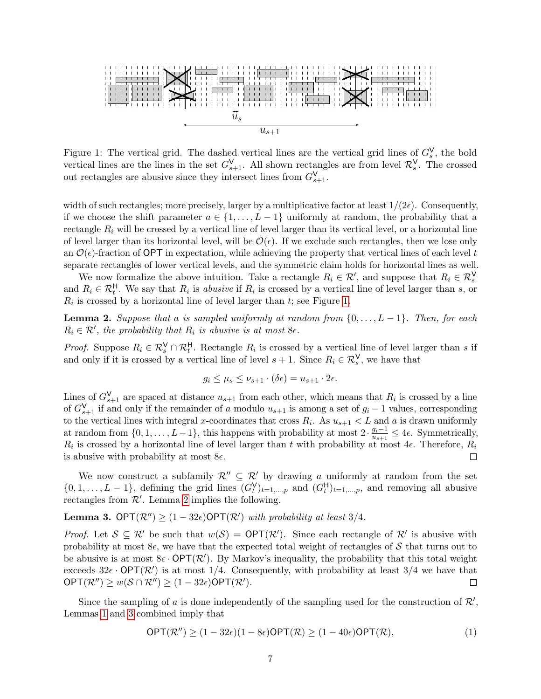

<span id="page-6-0"></span>Figure 1: The vertical grid. The dashed vertical lines are the vertical grid lines of  $G_s^V$ , the bold vertical lines are the lines in the set  $G_{s+1}^V$ . All shown rectangles are from level  $\mathcal{R}_s^V$ . The crossed out rectangles are abusive since they intersect lines from  $G_{s+1}^{\mathsf{V}}$ .

width of such rectangles; more precisely, larger by a multiplicative factor at least  $1/(2\epsilon)$ . Consequently, if we choose the shift parameter  $a \in \{1, \ldots, L-1\}$  uniformly at random, the probability that a rectangle  $R_i$  will be crossed by a vertical line of level larger than its vertical level, or a horizontal line of level larger than its horizontal level, will be  $\mathcal{O}(\epsilon)$ . If we exclude such rectangles, then we lose only an  $\mathcal{O}(\epsilon)$ -fraction of OPT in expectation, while achieving the property that vertical lines of each level t separate rectangles of lower vertical levels, and the symmetric claim holds for horizontal lines as well.

We now formalize the above intuition. Take a rectangle  $R_i \in \mathcal{R}'$ , and suppose that  $R_i \in \mathcal{R}_s^V$ and  $R_i \in \mathcal{R}_t^H$ . We say that  $R_i$  is abusive if  $R_i$  is crossed by a vertical line of level larger than s, or  $R_i$  is crossed by a horizontal line of level larger than  $t$ ; see Figure [1.](#page-6-0)

<span id="page-6-1"></span>**Lemma 2.** Suppose that a is sampled uniformly at random from  $\{0, \ldots, L-1\}$ . Then, for each  $R_i \in \mathcal{R}'$ , the probability that  $R_i$  is abusive is at most  $8\epsilon$ .

*Proof.* Suppose  $R_i \in \mathcal{R}_s^V \cap \mathcal{R}_t^H$ . Rectangle  $R_i$  is crossed by a vertical line of level larger than s if and only if it is crossed by a vertical line of level  $s + 1$ . Since  $R_i \in \mathcal{R}_s^{\vee}$ , we have that

$$
g_i \le \mu_s \le \nu_{s+1} \cdot (\delta \epsilon) = u_{s+1} \cdot 2\epsilon.
$$

Lines of  $G_{s+1}^{\vee}$  are spaced at distance  $u_{s+1}$  from each other, which means that  $R_i$  is crossed by a line of  $G_{s+1}^{\mathsf{V}}$  if and only if the remainder of a modulo  $u_{s+1}$  is among a set of  $g_i - 1$  values, corresponding to the vertical lines with integral x-coordinates that cross  $R_i$ . As  $u_{s+1} < L$  and a is drawn uniformly at random from  $\{0, 1, \ldots, L-1\}$ , this happens with probability at most  $2 \cdot \frac{g_i-1}{g_i}$  $\frac{g_i-1}{u_{s+1}} \leq 4\epsilon$ . Symmetrically,  $R_i$  is crossed by a horizontal line of level larger than t with probability at most 4 $\epsilon$ . Therefore,  $R_i$ is abusive with probability at most  $8\epsilon$ .  $\Box$ 

We now construct a subfamily  $\mathcal{R}'' \subseteq \mathcal{R}'$  by drawing a uniformly at random from the set  $\{0, 1, \ldots, L-1\}$ , defining the grid lines  $(G_t^{\mathsf{V}})_{t=1,\ldots,p}$  and  $(G_t^{\mathsf{H}})_{t=1,\ldots,p}$ , and removing all abusive rectangles from  $\mathcal{R}'$ . Lemma [2](#page-6-1) implies the following.

<span id="page-6-2"></span>**Lemma 3.** OPT $(\mathcal{R}'') \geq (1 - 32\epsilon)$ OPT $(\mathcal{R}')$  with probability at least 3/4.

*Proof.* Let  $S \subseteq \mathcal{R}'$  be such that  $w(S) = \text{OPT}(\mathcal{R}')$ . Since each rectangle of  $\mathcal{R}'$  is abusive with probability at most  $8\epsilon$ , we have that the expected total weight of rectangles of S that turns out to be abusive is at most  $8\epsilon \cdot \mathsf{OPT}(\mathcal{R}')$ . By Markov's inequality, the probability that this total weight exceeds  $32\epsilon \cdot \text{OPT}(\mathcal{R}')$  is at most 1/4. Consequently, with probability at least 3/4 we have that  $\mathsf{OPT}(\mathcal{R}'') \geq w(\mathcal{S} \cap \mathcal{R}'') \geq (1-32\epsilon)\mathsf{OPT}(\mathcal{R}').$  $\Box$ 

Since the sampling of a is done independently of the sampling used for the construction of  $\mathcal{R}'$ , Lemmas [1](#page-4-1) and [3](#page-6-2) combined imply that

<span id="page-6-3"></span>
$$
\mathsf{OPT}(\mathcal{R}'') \ge (1 - 32\epsilon)(1 - 8\epsilon)\mathsf{OPT}(\mathcal{R}) \ge (1 - 40\epsilon)\mathsf{OPT}(\mathcal{R}),\tag{1}
$$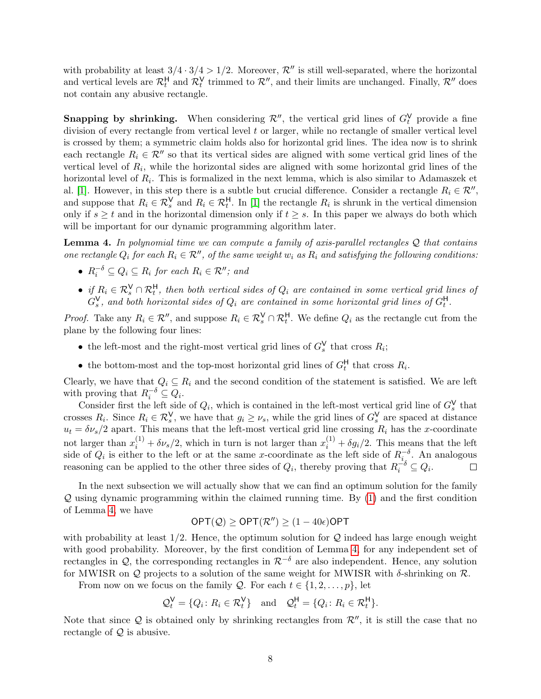with probability at least  $3/4 \cdot 3/4 > 1/2$ . Moreover,  $\mathcal{R}''$  is still well-separated, where the horizontal and vertical levels are  $\mathcal{R}_t^H$  and  $\mathcal{R}_t^V$  trimmed to  $\mathcal{R}''$ , and their limits are unchanged. Finally,  $\mathcal{R}''$  does not contain any abusive rectangle.

**Snapping by shrinking.** When considering  $\mathcal{R}''$ , the vertical grid lines of  $G_t^V$  provide a fine division of every rectangle from vertical level  $t$  or larger, while no rectangle of smaller vertical level is crossed by them; a symmetric claim holds also for horizontal grid lines. The idea now is to shrink each rectangle  $R_i \in \mathcal{R}''$  so that its vertical sides are aligned with some vertical grid lines of the vertical level of  $R_i$ , while the horizontal sides are aligned with some horizontal grid lines of the horizontal level of  $R_i$ . This is formalized in the next lemma, which is also similar to Adamaszek et al. [\[1\]](#page-23-2). However, in this step there is a subtle but crucial difference. Consider a rectangle  $R_i \in \mathcal{R}''$ , and suppose that  $R_i \in \mathcal{R}_s^{\mathsf{V}}$  and  $R_i \in \mathcal{R}_t^{\mathsf{H}}$ . In [\[1\]](#page-23-2) the rectangle  $R_i$  is shrunk in the vertical dimension only if  $s \geq t$  and in the horizontal dimension only if  $t \geq s$ . In this paper we always do both which will be important for our dynamic programming algorithm later.

<span id="page-7-0"></span>**Lemma 4.** In polynomial time we can compute a family of axis-parallel rectangles  $Q$  that contains one rectangle  $Q_i$  for each  $R_i \in \mathcal{R}''$ , of the same weight  $w_i$  as  $R_i$  and satisfying the following conditions:

- $R_i^{-\delta} \subseteq Q_i \subseteq R_i$  for each  $R_i \in \mathcal{R}''$ ; and
- if  $R_i \in \mathcal{R}_s^V \cap \mathcal{R}_t^H$ , then both vertical sides of  $Q_i$  are contained in some vertical grid lines of  $G_s^{\mathsf{V}}$ , and both horizontal sides of  $Q_i$  are contained in some horizontal grid lines of  $G_t^{\mathsf{H}}$ .

*Proof.* Take any  $R_i \in \mathcal{R}''$ , and suppose  $R_i \in \mathcal{R}_s^V \cap \mathcal{R}_t^H$ . We define  $Q_i$  as the rectangle cut from the plane by the following four lines:

- the left-most and the right-most vertical grid lines of  $G_s^V$  that cross  $R_i$ ;
- the bottom-most and the top-most horizontal grid lines of  $G_t^H$  that cross  $R_i$ .

Clearly, we have that  $Q_i \subseteq R_i$  and the second condition of the statement is satisfied. We are left with proving that  $R_i^{-\delta} \subseteq Q_i$ .

Consider first the left side of  $Q_i$ , which is contained in the left-most vertical grid line of  $G_s^{\vee}$  that crosses  $R_i$ . Since  $R_i \in \mathcal{R}_s^V$ , we have that  $g_i \geq \nu_s$ , while the grid lines of  $G_s^V$  are spaced at distance  $u_t = \delta \nu_s/2$  apart. This means that the left-most vertical grid line crossing  $R_i$  has the x-coordinate not larger than  $x_i^{(1)} + \delta \nu_s/2$ , which in turn is not larger than  $x_i^{(1)} + \delta g_i/2$ . This means that the left side of  $Q_i$  is either to the left or at the same x-coordinate as the left side of  $R_{i_s}^{-\delta}$ . An analogous reasoning can be applied to the other three sides of  $Q_i$ , thereby proving that  $R_i^{-\delta} \subseteq Q_i$ .  $\Box$ 

In the next subsection we will actually show that we can find an optimum solution for the family  $\mathcal Q$  using dynamic programming within the claimed running time. By  $(1)$  and the first condition of Lemma [4,](#page-7-0) we have

$$
\mathsf{OPT}(\mathcal{Q}) \geq \mathsf{OPT}(\mathcal{R}'') \geq (1 - 40\epsilon)\mathsf{OPT}
$$

with probability at least  $1/2$ . Hence, the optimum solution for Q indeed has large enough weight with good probability. Moreover, by the first condition of Lemma [4,](#page-7-0) for any independent set of rectangles in  $\mathcal{Q}$ , the corresponding rectangles in  $\mathcal{R}^{-\delta}$  are also independent. Hence, any solution for MWISR on  $\mathcal Q$  projects to a solution of the same weight for MWISR with  $\delta$ -shrinking on  $\mathcal R$ .

From now on we focus on the family  $\mathcal{Q}$ . For each  $t \in \{1, 2, \ldots, p\}$ , let

$$
\mathcal{Q}_t^{\mathsf{V}} = \{Q_i \colon R_i \in \mathcal{R}_t^{\mathsf{V}}\} \quad \text{and} \quad \mathcal{Q}_t^{\mathsf{H}} = \{Q_i \colon R_i \in \mathcal{R}_t^{\mathsf{H}}\}.
$$

Note that since  $Q$  is obtained only by shrinking rectangles from  $\mathcal{R}''$ , it is still the case that no rectangle of  $Q$  is abusive.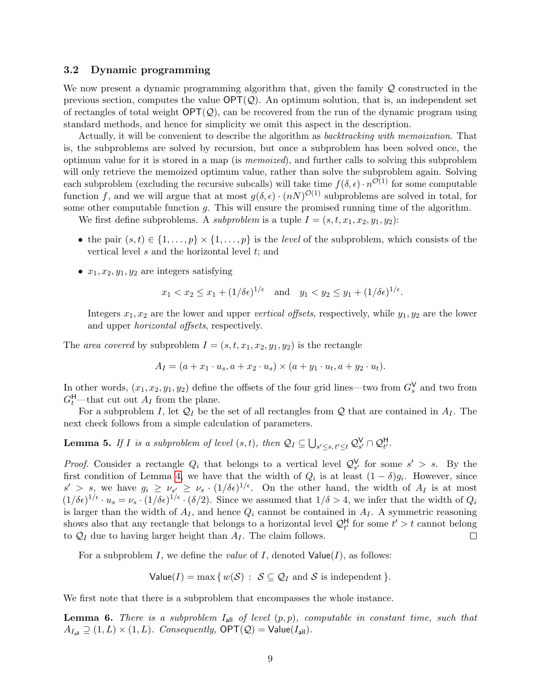#### <span id="page-8-0"></span>3.2 Dynamic programming

We now present a dynamic programming algorithm that, given the family Q constructed in the previous section, computes the value  $\mathsf{OPT}(\mathcal{Q})$ . An optimum solution, that is, an independent set of rectangles of total weight  $\mathsf{OPT}(\mathcal{Q})$ , can be recovered from the run of the dynamic program using standard methods, and hence for simplicity we omit this aspect in the description.

Actually, it will be convenient to describe the algorithm as *backtracking with memoization*. That is, the subproblems are solved by recursion, but once a subproblem has been solved once, the optimum value for it is stored in a map (is memoized), and further calls to solving this subproblem will only retrieve the memoized optimum value, rather than solve the subproblem again. Solving each subproblem (excluding the recursive subcalls) will take time  $f(\delta, \epsilon) \cdot n^{\mathcal{O}(1)}$  for some computable function f, and we will argue that at most  $g(\delta, \epsilon) \cdot (nN)^{O(1)}$  subproblems are solved in total, for some other computable function  $g$ . This will ensure the promised running time of the algorithm.

We first define subproblems. A *subproblem* is a tuple  $I = (s, t, x_1, x_2, y_1, y_2)$ :

- the pair  $(s, t) \in \{1, \ldots, p\} \times \{1, \ldots, p\}$  is the *level* of the subproblem, which consists of the vertical level  $s$  and the horizontal level  $t$ ; and
- $x_1, x_2, y_1, y_2$  are integers satisfying

$$
x_1 < x_2 \le x_1 + (1/\delta \epsilon)^{1/\epsilon}
$$
 and  $y_1 < y_2 \le y_1 + (1/\delta \epsilon)^{1/\epsilon}$ .

Integers  $x_1, x_2$  are the lower and upper vertical offsets, respectively, while  $y_1, y_2$  are the lower and upper horizontal offsets, respectively.

The area covered by subproblem  $I = (s, t, x_1, x_2, y_1, y_2)$  is the rectangle

$$
A_I = (a + x_1 \cdot u_s, a + x_2 \cdot u_s) \times (a + y_1 \cdot u_t, a + y_2 \cdot u_t).
$$

In other words,  $(x_1, x_2, y_1, y_2)$  define the offsets of the four grid lines—two from  $G_s^{\mathsf{V}}$  and two from  $G_t^{\mathsf{H}}$ —that cut out  $A_I$  from the plane.

For a subproblem I, let  $\mathcal{Q}_I$  be the set of all rectangles from  $\mathcal Q$  that are contained in  $A_I$ . The next check follows from a simple calculation of parameters.

**Lemma 5.** If I is a subproblem of level  $(s, t)$ , then  $\mathcal{Q}_I \subseteq \bigcup_{s' \leq s, t' \leq t} \mathcal{Q}_{s'}^{\mathsf{V}} \cap \mathcal{Q}_{t'}^{\mathsf{H}}$ .

*Proof.* Consider a rectangle  $Q_i$  that belongs to a vertical level  $Q_{s'}^{\vee}$  for some  $s' > s$ . By the first condition of Lemma [4,](#page-7-0) we have that the width of  $Q_i$  is at least  $(1 - \delta)g_i$ . However, since  $s' > s$ , we have  $g_i \geq \nu_{s'} \geq \nu_s \cdot (1/\delta \epsilon)^{1/\epsilon}$ . On the other hand, the width of  $A_I$  is at most  $(1/\delta\epsilon)^{1/\epsilon} \cdot u_s = \nu_s \cdot (1/\delta\epsilon)^{1/\epsilon} \cdot (\delta/2)$ . Since we assumed that  $1/\delta > 4$ , we infer that the width of  $Q_i$ is larger than the width of  $A_I$ , and hence  $Q_i$  cannot be contained in  $A_I$ . A symmetric reasoning shows also that any rectangle that belongs to a horizontal level  $\mathcal{Q}^{\mathsf{H}}_{t'}$  for some  $t' > t$  cannot belong to  $\mathcal{Q}_I$  due to having larger height than  $A_I$ . The claim follows.  $\Box$ 

For a subproblem I, we define the *value* of I, denoted  $Value(I)$ , as follows:

Value(*I*) = max {
$$
w(S)
$$
 :  $S \subseteq Q_I$  and *S* is independent }.

We first note that there is a subproblem that encompasses the whole instance.

<span id="page-8-1"></span>**Lemma 6.** There is a subproblem  $I_{all}$  of level  $(p, p)$ , computable in constant time, such that  $A_{I_{\text{all}}} \supseteq (1, L) \times (1, L)$ . Consequently,  $\mathsf{OPT}(\mathcal{Q}) = \mathsf{Value}(I_{\text{all}})$ .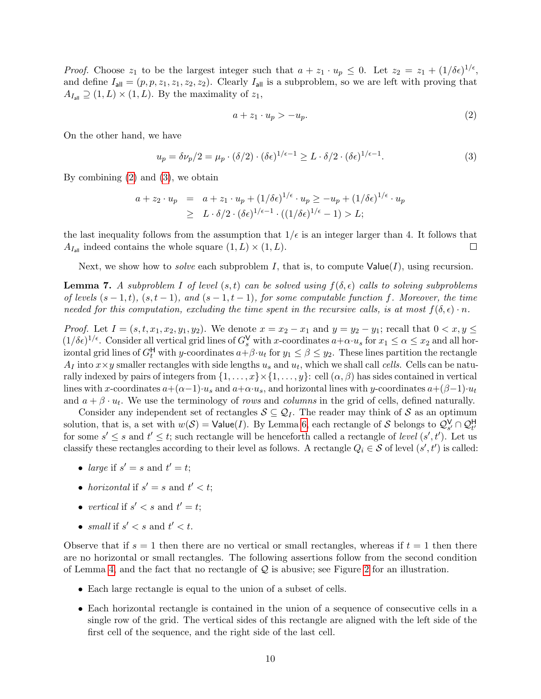*Proof.* Choose  $z_1$  to be the largest integer such that  $a + z_1 \cdot u_p \leq 0$ . Let  $z_2 = z_1 + (1/\delta \epsilon)^{1/\epsilon}$ , and define  $I_{\text{all}} = (p, p, z_1, z_1, z_2, z_2)$ . Clearly  $I_{\text{all}}$  is a subproblem, so we are left with proving that  $A_{I_{\text{all}}} \supseteq (1, L) \times (1, L)$ . By the maximality of  $z_1$ ,

<span id="page-9-0"></span>
$$
a + z_1 \cdot u_p > -u_p. \tag{2}
$$

On the other hand, we have

<span id="page-9-1"></span>
$$
u_p = \delta \nu_p / 2 = \mu_p \cdot (\delta / 2) \cdot (\delta \epsilon)^{1/\epsilon - 1} \ge L \cdot \delta / 2 \cdot (\delta \epsilon)^{1/\epsilon - 1}.
$$
 (3)

By combining  $(2)$  and  $(3)$ , we obtain

$$
a + z_2 \cdot u_p = a + z_1 \cdot u_p + (1/\delta \epsilon)^{1/\epsilon} \cdot u_p \ge -u_p + (1/\delta \epsilon)^{1/\epsilon} \cdot u_p
$$
  
 
$$
\ge L \cdot \delta/2 \cdot (\delta \epsilon)^{1/\epsilon - 1} \cdot ((1/\delta \epsilon)^{1/\epsilon} - 1) > L;
$$

the last inequality follows from the assumption that  $1/\epsilon$  is an integer larger than 4. It follows that  $A_{I_{\text{all}}}$  indeed contains the whole square  $(1, L) \times (1, L)$ .  $\Box$ 

Next, we show how to *solve* each subproblem I, that is, to compute  $Value(I)$ , using recursion.

<span id="page-9-2"></span>**Lemma 7.** A subproblem I of level  $(s,t)$  can be solved using  $f(\delta, \epsilon)$  calls to solving subproblems of levels  $(s - 1, t)$ ,  $(s, t - 1)$ , and  $(s - 1, t - 1)$ , for some computable function f. Moreover, the time needed for this computation, excluding the time spent in the recursive calls, is at most  $f(\delta, \epsilon) \cdot n$ .

*Proof.* Let  $I = (s, t, x_1, x_2, y_1, y_2)$ . We denote  $x = x_2 - x_1$  and  $y = y_2 - y_1$ ; recall that  $0 < x, y \leq$  $(1/\delta \epsilon)^{1/\epsilon}$ . Consider all vertical grid lines of  $G_s^V$  with x-coordinates  $a+\alpha \cdot u_s$  for  $x_1 \leq \alpha \leq x_2$  and all horizontal grid lines of  $G_t^H$  with y-coordinates  $a+\beta \cdot u_t$  for  $y_1 \leq \beta \leq y_2$ . These lines partition the rectangle  $A_I$  into  $x \times y$  smaller rectangles with side lengths  $u_s$  and  $u_t$ , which we shall call cells. Cells can be naturally indexed by pairs of integers from  $\{1,\ldots,x\}\times\{1,\ldots,y\}$ : cell  $(\alpha,\beta)$  has sides contained in vertical lines with x-coordinates  $a+(\alpha-1)u_s$  and  $a+\alpha\cdot u_s$ , and horizontal lines with y-coordinates  $a+(\beta-1)u_t$ and  $a + \beta \cdot u_t$ . We use the terminology of *rows* and *columns* in the grid of cells, defined naturally.

Consider any independent set of rectangles  $S \subseteq Q_I$ . The reader may think of S as an optimum solution, that is, a set with  $w(S) = \text{Value}(I)$ . By Lemma [6,](#page-8-1) each rectangle of S belongs to  $\mathcal{Q}_{s'}^{\mathsf{V}} \cap \mathcal{Q}_{t'}^{\mathsf{H}}$ for some  $s' \leq s$  and  $t' \leq t$ ; such rectangle will be henceforth called a rectangle of level  $(s', t')$ . Let us classify these rectangles according to their level as follows. A rectangle  $Q_i \in \mathcal{S}$  of level  $(s', t')$  is called:

- large if  $s' = s$  and  $t' = t$ ;
- horizontal if  $s' = s$  and  $t' < t$ ;
- vertical if  $s' < s$  and  $t' = t$ ;
- small if  $s' < s$  and  $t' < t$ .

Observe that if  $s = 1$  then there are no vertical or small rectangles, whereas if  $t = 1$  then there are no horizontal or small rectangles. The following assertions follow from the second condition of Lemma [4,](#page-7-0) and the fact that no rectangle of  $\mathcal Q$  is abusive; see Figure [2](#page-10-0) for an illustration.

- Each large rectangle is equal to the union of a subset of cells.
- Each horizontal rectangle is contained in the union of a sequence of consecutive cells in a single row of the grid. The vertical sides of this rectangle are aligned with the left side of the first cell of the sequence, and the right side of the last cell.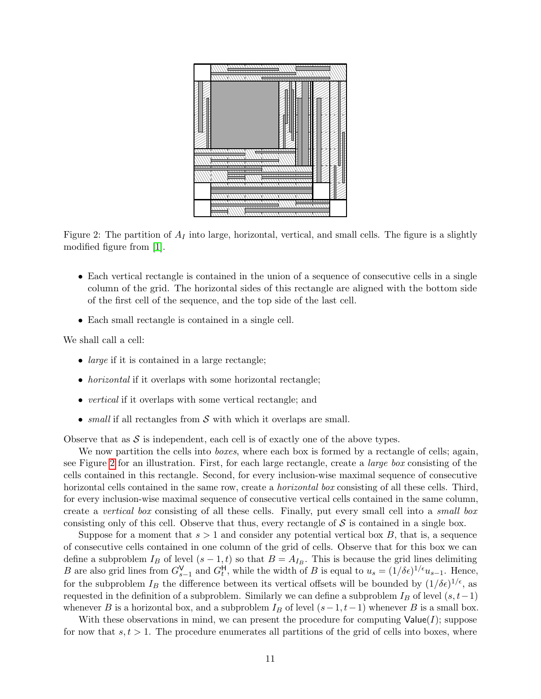

<span id="page-10-0"></span>Figure 2: The partition of  $A_I$  into large, horizontal, vertical, and small cells. The figure is a slightly modified figure from [\[1\]](#page-23-2).

- Each vertical rectangle is contained in the union of a sequence of consecutive cells in a single column of the grid. The horizontal sides of this rectangle are aligned with the bottom side of the first cell of the sequence, and the top side of the last cell.
- Each small rectangle is contained in a single cell.

We shall call a cell:

- *large* if it is contained in a large rectangle;
- *horizontal* if it overlaps with some horizontal rectangle;
- *vertical* if it overlaps with some vertical rectangle; and
- small if all rectangles from  $S$  with which it overlaps are small.

Observe that as  $S$  is independent, each cell is of exactly one of the above types.

We now partition the cells into *boxes*, where each box is formed by a rectangle of cells; again, see Figure [2](#page-10-0) for an illustration. First, for each large rectangle, create a large box consisting of the cells contained in this rectangle. Second, for every inclusion-wise maximal sequence of consecutive horizontal cells contained in the same row, create a *horizontal box* consisting of all these cells. Third, for every inclusion-wise maximal sequence of consecutive vertical cells contained in the same column, create a vertical box consisting of all these cells. Finally, put every small cell into a small box consisting only of this cell. Observe that thus, every rectangle of  $S$  is contained in a single box.

Suppose for a moment that  $s > 1$  and consider any potential vertical box B, that is, a sequence of consecutive cells contained in one column of the grid of cells. Observe that for this box we can define a subproblem  $I_B$  of level  $(s-1,t)$  so that  $B=A_{I_B}$ . This is because the grid lines delimiting B are also grid lines from  $G_{s-1}^V$  and  $G_t^H$ , while the width of B is equal to  $u_s = (1/\delta \epsilon)^{1/\epsilon} u_{s-1}$ . Hence, for the subproblem  $I_B$  the difference between its vertical offsets will be bounded by  $(1/\delta\epsilon)^{1/\epsilon}$ , as requested in the definition of a subproblem. Similarly we can define a subproblem  $I_B$  of level  $(s, t-1)$ whenever B is a horizontal box, and a subproblem  $I_B$  of level  $(s-1, t-1)$  whenever B is a small box.

With these observations in mind, we can present the procedure for computing  $Value(I)$ ; suppose for now that  $s, t > 1$ . The procedure enumerates all partitions of the grid of cells into boxes, where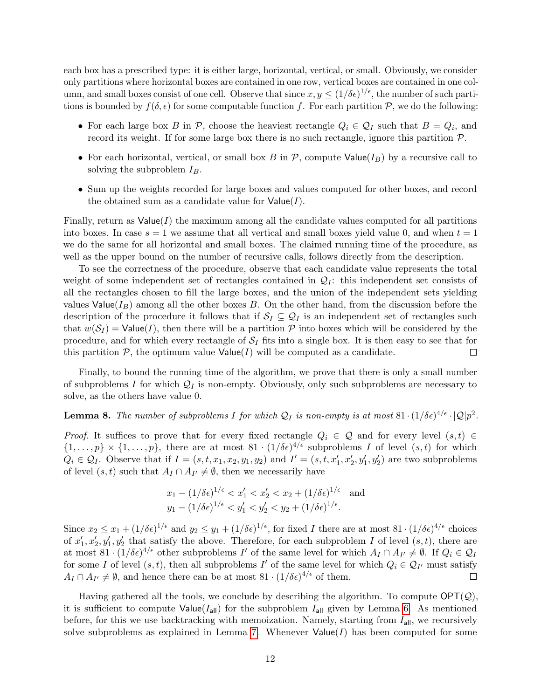each box has a prescribed type: it is either large, horizontal, vertical, or small. Obviously, we consider only partitions where horizontal boxes are contained in one row, vertical boxes are contained in one column, and small boxes consist of one cell. Observe that since  $x, y \leq (1/\delta \epsilon)^{1/\epsilon}$ , the number of such partitions is bounded by  $f(\delta, \epsilon)$  for some computable function f. For each partition P, we do the following:

- For each large box B in P, choose the heaviest rectangle  $Q_i \in \mathcal{Q}_I$  such that  $B = Q_i$ , and record its weight. If for some large box there is no such rectangle, ignore this partition  $P$ .
- For each horizontal, vertical, or small box B in P, compute  $\text{Value}(I_B)$  by a recursive call to solving the subproblem  $I_B$ .
- Sum up the weights recorded for large boxes and values computed for other boxes, and record the obtained sum as a candidate value for  $Value(I)$ .

Finally, return as  $Value(I)$  the maximum among all the candidate values computed for all partitions into boxes. In case  $s = 1$  we assume that all vertical and small boxes yield value 0, and when  $t = 1$ we do the same for all horizontal and small boxes. The claimed running time of the procedure, as well as the upper bound on the number of recursive calls, follows directly from the description.

To see the correctness of the procedure, observe that each candidate value represents the total weight of some independent set of rectangles contained in  $\mathcal{Q}_I$ : this independent set consists of all the rectangles chosen to fill the large boxes, and the union of the independent sets yielding values Value( $I_B$ ) among all the other boxes B. On the other hand, from the discussion before the description of the procedure it follows that if  $S_I \subseteq Q_I$  is an independent set of rectangles such that  $w(S_I) = \text{Value}(I)$ , then there will be a partition P into boxes which will be considered by the procedure, and for which every rectangle of  $S_I$  fits into a single box. It is then easy to see that for this partition  $P$ , the optimum value  $Value(I)$  will be computed as a candidate.  $\Box$ 

Finally, to bound the running time of the algorithm, we prove that there is only a small number of subproblems I for which  $\mathcal{Q}_I$  is non-empty. Obviously, only such subproblems are necessary to solve, as the others have value 0.

# <span id="page-11-0"></span>**Lemma 8.** The number of subproblems I for which  $Q_I$  is non-empty is at most  $81 \cdot (1/\delta \epsilon)^{4/\epsilon} \cdot |Q| p^2$ .

*Proof.* It suffices to prove that for every fixed rectangle  $Q_i \in \mathcal{Q}$  and for every level  $(s,t) \in$  $\{1,\ldots,p\} \times \{1,\ldots,p\}$ , there are at most  $81 \cdot (1/\delta \epsilon)^{4/\epsilon}$  subproblems I of level  $(s,t)$  for which  $Q_i \in \mathcal{Q}_I$ . Observe that if  $I = (s, t, x_1, x_2, y_1, y_2)$  and  $I' = (s, t, x'_1, x'_2, y'_1, y'_2)$  are two subproblems of level  $(s, t)$  such that  $A_I \cap A_{I'} \neq \emptyset$ , then we necessarily have

$$
x_1 - (1/\delta \epsilon)^{1/\epsilon} < x_1' < x_2' < x_2 + (1/\delta \epsilon)^{1/\epsilon} \quad \text{and}
$$
\n
$$
y_1 - (1/\delta \epsilon)^{1/\epsilon} < y_1' < y_2' < y_2 + (1/\delta \epsilon)^{1/\epsilon}.
$$

Since  $x_2 \leq x_1 + (1/\delta \epsilon)^{1/\epsilon}$  and  $y_2 \leq y_1 + (1/\delta \epsilon)^{1/\epsilon}$ , for fixed I there are at most  $81 \cdot (1/\delta \epsilon)^{4/\epsilon}$  choices of  $x_1', x_2', y_1', y_2'$  that satisfy the above. Therefore, for each subproblem I of level  $(s, t)$ , there are at most  $81 \cdot (1/\delta \epsilon)^{4/\epsilon}$  other subproblems I' of the same level for which  $A_I \cap A_{I'} \neq \emptyset$ . If  $Q_i \in \mathcal{Q}_I$ for some I of level  $(s, t)$ , then all subproblems I' of the same level for which  $Q_i \in \mathcal{Q}_{I'}$  must satisfy  $A_I \cap A_{I'} \neq \emptyset$ , and hence there can be at most  $81 \cdot (1/\delta \epsilon)^{4/\epsilon}$  of them.  $\Box$ 

Having gathered all the tools, we conclude by describing the algorithm. To compute  $\mathsf{OPT}(\mathcal{Q})$ , it is sufficient to compute  $Value(I_{all})$  for the subproblem  $I_{all}$  given by Lemma [6.](#page-8-1) As mentioned before, for this we use backtracking with memoization. Namely, starting from  $I_{all}$ , we recursively solve subproblems as explained in Lemma [7.](#page-9-2) Whenever  $Value(I)$  has been computed for some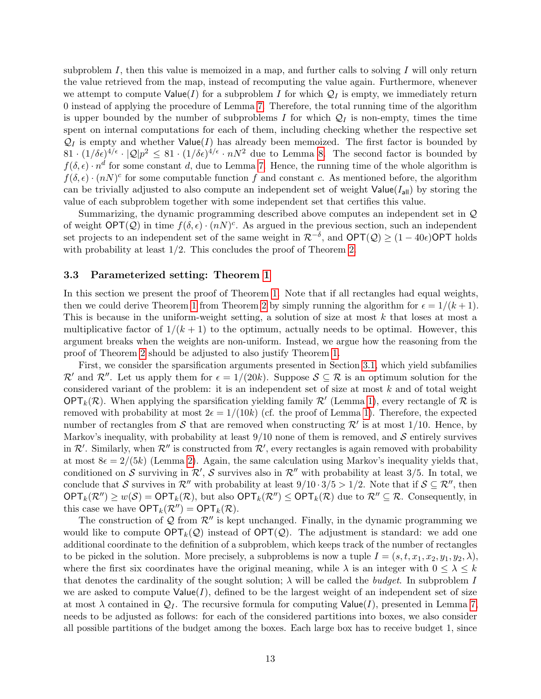subproblem I, then this value is memoized in a map, and further calls to solving I will only return the value retrieved from the map, instead of recomputing the value again. Furthermore, whenever we attempt to compute  $Value(I)$  for a subproblem I for which  $\mathcal{Q}_I$  is empty, we immediately return 0 instead of applying the procedure of Lemma [7.](#page-9-2) Therefore, the total running time of the algorithm is upper bounded by the number of subproblems I for which  $\mathcal{Q}_I$  is non-empty, times the time spent on internal computations for each of them, including checking whether the respective set  $\mathcal{Q}_I$  is empty and whether Value(I) has already been memoized. The first factor is bounded by  $81 \cdot (1/\delta \epsilon)^{4/\epsilon} \cdot |\mathcal{Q}| p^2 \leq 81 \cdot (1/\delta \epsilon)^{4/\epsilon} \cdot nN^2$  due to Lemma [8.](#page-11-0) The second factor is bounded by  $f(\delta, \epsilon) \cdot n^d$  for some constant d, due to Lemma [7.](#page-9-2) Hence, the running time of the whole algorithm is  $f(\delta, \epsilon) \cdot (nN)^c$  for some computable function f and constant c. As mentioned before, the algorithm can be trivially adjusted to also compute an independent set of weight  $Value(I_{all})$  by storing the value of each subproblem together with some independent set that certifies this value.

Summarizing, the dynamic programming described above computes an independent set in Q of weight  $\mathsf{OPT}(\mathcal{Q})$  in time  $f(\delta, \epsilon) \cdot (nN)^c$ . As argued in the previous section, such an independent set projects to an independent set of the same weight in  $\mathcal{R}^{-\delta}$ , and  $\text{OPT}(\mathcal{Q}) \geq (1 - 40\epsilon)\text{OPT}$  holds with probability at least  $1/2$ . This concludes the proof of Theorem [2.](#page-3-2)

#### <span id="page-12-0"></span>3.3 Parameterized setting: Theorem [1](#page-3-3)

In this section we present the proof of Theorem [1.](#page-3-3) Note that if all rectangles had equal weights, then we could derive Theorem [1](#page-3-3) from Theorem [2](#page-3-2) by simply running the algorithm for  $\epsilon = 1/(k+1)$ . This is because in the uniform-weight setting, a solution of size at most  $k$  that loses at most a multiplicative factor of  $1/(k+1)$  to the optimum, actually needs to be optimal. However, this argument breaks when the weights are non-uniform. Instead, we argue how the reasoning from the proof of Theorem [2](#page-3-2) should be adjusted to also justify Theorem [1.](#page-3-3)

First, we consider the sparsification arguments presented in Section [3.1,](#page-4-0) which yield subfamilies  $\mathcal{R}'$  and  $\mathcal{R}''$ . Let us apply them for  $\epsilon = 1/(20k)$ . Suppose  $\mathcal{S} \subseteq \mathcal{R}$  is an optimum solution for the considered variant of the problem: it is an independent set of size at most  $k$  and of total weight OPT<sub>k</sub>( $\mathcal{R}$ ). When applying the sparsification yielding family  $\mathcal{R}'$  (Lemma [1\)](#page-4-1), every rectangle of  $\mathcal{R}$  is removed with probability at most  $2\epsilon = 1/(10k)$  (cf. the proof of Lemma [1\)](#page-4-1). Therefore, the expected number of rectangles from S that are removed when constructing  $\mathcal{R}'$  is at most 1/10. Hence, by Markov's inequality, with probability at least  $9/10$  none of them is removed, and S entirely survives in  $\mathcal{R}'$ . Similarly, when  $\mathcal{R}''$  is constructed from  $\mathcal{R}'$ , every rectangles is again removed with probability at most  $8\epsilon = 2/(5k)$  (Lemma [2\)](#page-6-1). Again, the same calculation using Markov's inequality yields that, conditioned on S surviving in  $\mathcal{R}', \mathcal{S}$  survives also in  $\mathcal{R}''$  with probability at least 3/5. In total, we conclude that S survives in  $\mathcal{R}''$  with probability at least  $9/10 \cdot 3/5 > 1/2$ . Note that if  $S \subseteq \mathcal{R}''$ , then  $\mathsf{OPT}_k(\mathcal{R}'') \geq w(\mathcal{S}) = \mathsf{OPT}_k(\mathcal{R}),$  but also  $\mathsf{OPT}_k(\mathcal{R}'') \leq \mathsf{OPT}_k(\mathcal{R})$  due to  $\mathcal{R}'' \subseteq \mathcal{R}$ . Consequently, in this case we have  $\mathsf{OPT}_k(\mathcal{R}'') = \mathsf{OPT}_k(\mathcal{R})$ .

The construction of  $\mathcal Q$  from  $\mathcal R''$  is kept unchanged. Finally, in the dynamic programming we would like to compute  $\mathsf{OPT}_k(\mathcal{Q})$  instead of  $\mathsf{OPT}(\mathcal{Q})$ . The adjustment is standard: we add one additional coordinate to the definition of a subproblem, which keeps track of the number of rectangles to be picked in the solution. More precisely, a subproblems is now a tuple  $I = (s, t, x_1, x_2, y_1, y_2, \lambda)$ , where the first six coordinates have the original meaning, while  $\lambda$  is an integer with  $0 \leq \lambda \leq k$ that denotes the cardinality of the sought solution;  $\lambda$  will be called the *budget*. In subproblem I we are asked to compute  $Value(I)$ , defined to be the largest weight of an independent set of size at most  $\lambda$  contained in  $\mathcal{Q}_I$ . The recursive formula for computing Value(I), presented in Lemma [7,](#page-9-2) needs to be adjusted as follows: for each of the considered partitions into boxes, we also consider all possible partitions of the budget among the boxes. Each large box has to receive budget 1, since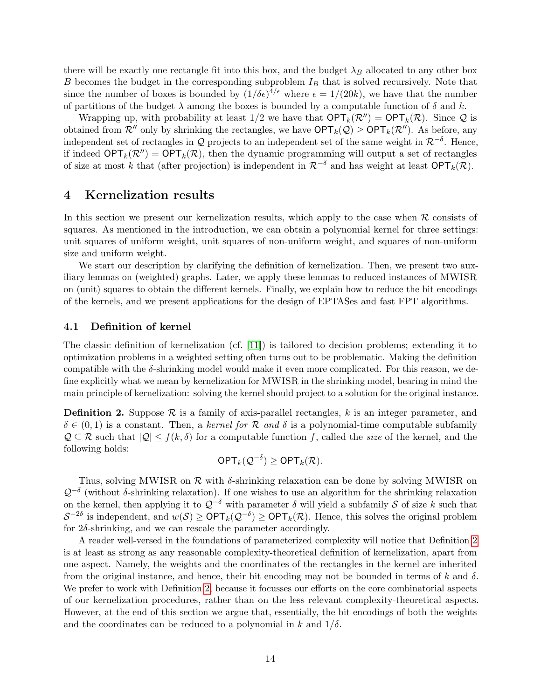there will be exactly one rectangle fit into this box, and the budget  $\lambda_B$  allocated to any other box  $B$  becomes the budget in the corresponding subproblem  $I_B$  that is solved recursively. Note that since the number of boxes is bounded by  $(1/\delta \epsilon)^{4/\epsilon}$  where  $\epsilon = 1/(20k)$ , we have that the number of partitions of the budget  $\lambda$  among the boxes is bounded by a computable function of  $\delta$  and k.

Wrapping up, with probability at least  $1/2$  we have that  $\mathsf{OPT}_k(\mathcal{R}'') = \mathsf{OPT}_k(\mathcal{R})$ . Since  $\mathcal Q$  is obtained from  $\mathcal{R}''$  only by shrinking the rectangles, we have  $\mathsf{OPT}_k(\mathcal{Q}) \geq \mathsf{OPT}_k(\mathcal{R}'')$ . As before, any independent set of rectangles in Q projects to an independent set of the same weight in  $\mathcal{R}^{-\delta}$ . Hence, if indeed  $\mathsf{OPT}_k(\mathcal{R}'') = \mathsf{OPT}_k(\mathcal{R})$ , then the dynamic programming will output a set of rectangles of size at most k that (after projection) is independent in  $\mathcal{R}^{-\delta}$  and has weight at least  $\mathsf{OPT}_k(\mathcal{R})$ .

# <span id="page-13-0"></span>4 Kernelization results

In this section we present our kernelization results, which apply to the case when  $\mathcal R$  consists of squares. As mentioned in the introduction, we can obtain a polynomial kernel for three settings: unit squares of uniform weight, unit squares of non-uniform weight, and squares of non-uniform size and uniform weight.

We start our description by clarifying the definition of kernelization. Then, we present two auxiliary lemmas on (weighted) graphs. Later, we apply these lemmas to reduced instances of MWISR on (unit) squares to obtain the different kernels. Finally, we explain how to reduce the bit encodings of the kernels, and we present applications for the design of EPTASes and fast FPT algorithms.

#### 4.1 Definition of kernel

The classic definition of kernelization (cf. [\[11\]](#page-24-13)) is tailored to decision problems; extending it to optimization problems in a weighted setting often turns out to be problematic. Making the definition compatible with the  $\delta$ -shrinking model would make it even more complicated. For this reason, we define explicitly what we mean by kernelization for MWISR in the shrinking model, bearing in mind the main principle of kernelization: solving the kernel should project to a solution for the original instance.

<span id="page-13-1"></span>**Definition 2.** Suppose  $\mathcal{R}$  is a family of axis-parallel rectangles, k is an integer parameter, and  $\delta \in (0,1)$  is a constant. Then, a kernel for R and  $\delta$  is a polynomial-time computable subfamily  $\mathcal{Q} \subseteq \mathcal{R}$  such that  $|\mathcal{Q}| \leq f(k,\delta)$  for a computable function f, called the size of the kernel, and the following holds:

$$
\mathsf{OPT}_k(\mathcal{Q}^{-\delta}) \geq \mathsf{OPT}_k(\mathcal{R}).
$$

Thus, solving MWISR on  $\mathcal R$  with  $\delta$ -shrinking relaxation can be done by solving MWISR on  $\mathcal{Q}^{-\delta}$  (without δ-shrinking relaxation). If one wishes to use an algorithm for the shrinking relaxation on the kernel, then applying it to  $Q^{-\delta}$  with parameter  $\delta$  will yield a subfamily S of size k such that  $S^{-2\delta}$  is independent, and  $w(S) \ge \text{OPT}_k(Q^{-\delta}) \ge \text{OPT}_k(\mathcal{R})$ . Hence, this solves the original problem for 2δ-shrinking, and we can rescale the parameter accordingly.

A reader well-versed in the foundations of parameterized complexity will notice that Definition [2](#page-13-1) is at least as strong as any reasonable complexity-theoretical definition of kernelization, apart from one aspect. Namely, the weights and the coordinates of the rectangles in the kernel are inherited from the original instance, and hence, their bit encoding may not be bounded in terms of k and  $\delta$ . We prefer to work with Definition [2,](#page-13-1) because it focusses our efforts on the core combinatorial aspects of our kernelization procedures, rather than on the less relevant complexity-theoretical aspects. However, at the end of this section we argue that, essentially, the bit encodings of both the weights and the coordinates can be reduced to a polynomial in k and  $1/\delta$ .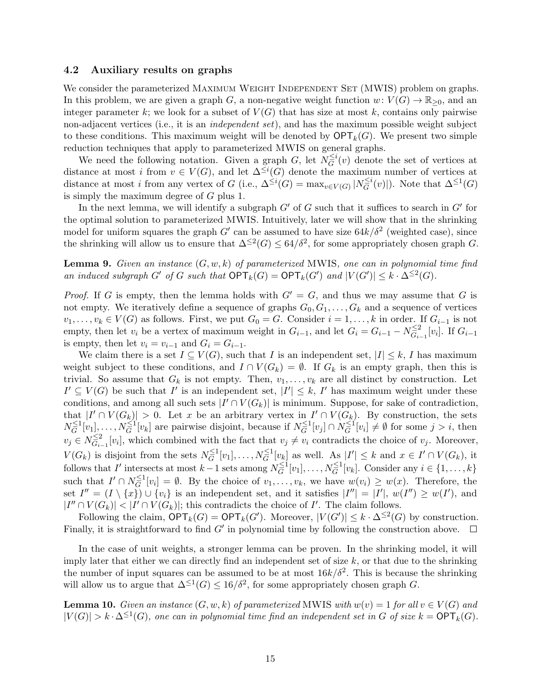#### 4.2 Auxiliary results on graphs

We consider the parameterized MAXIMUM WEIGHT INDEPENDENT SET (MWIS) problem on graphs. In this problem, we are given a graph G, a non-negative weight function  $w: V(G) \to \mathbb{R}_{\geq 0}$ , and an integer parameter k; we look for a subset of  $V(G)$  that has size at most k, contains only pairwise non-adjacent vertices (i.e., it is an *independent set*), and has the maximum possible weight subject to these conditions. This maximum weight will be denoted by  $\mathsf{OPT}_k(G)$ . We present two simple reduction techniques that apply to parameterized MWIS on general graphs.

We need the following notation. Given a graph G, let  $N_G^{\leq i}$  $\tilde{G}^{i}(v)$  denote the set of vertices at distance at most i from  $v \in V(G)$ , and let  $\Delta^{\leq i}(G)$  denote the maximum number of vertices at distance at most *i* from any vertex of G (i.e.,  $\Delta^{\leq i}(G) = \max_{v \in V(G)} |N_G^{\leq i}|$  $\tilde{G}^{i}(v)$ ). Note that  $\Delta^{\leq 1}(G)$ is simply the maximum degree of G plus 1.

In the next lemma, we will identify a subgraph  $G'$  of G such that it suffices to search in  $G'$  for the optimal solution to parameterized MWIS. Intuitively, later we will show that in the shrinking model for uniform squares the graph G' can be assumed to have size  $64k/\delta^2$  (weighted case), since the shrinking will allow us to ensure that  $\Delta^{\leq 2}(G) \leq 64/\delta^2$ , for some appropriately chosen graph G.

<span id="page-14-1"></span>**Lemma 9.** Given an instance  $(G, w, k)$  of parameterized MWIS, one can in polynomial time find an induced subgraph G' of G such that  $\mathsf{OPT}_k(G) = \mathsf{OPT}_k(G')$  and  $|V(G')| \leq k \cdot \Delta^{\leq 2}(G)$ .

*Proof.* If G is empty, then the lemma holds with  $G' = G$ , and thus we may assume that G is not empty. We iteratively define a sequence of graphs  $G_0, G_1, \ldots, G_k$  and a sequence of vertices  $v_1, \ldots, v_k \in V(G)$  as follows. First, we put  $G_0 = G$ . Consider  $i = 1, \ldots, k$  in order. If  $G_{i-1}$  is not empty, then let  $v_i$  be a vertex of maximum weight in  $G_{i-1}$ , and let  $G_i = G_{i-1} - N_{G_i}^{\leq 2}$  $\frac{\epsilon^{2}}{G_{i-1}}[v_i]$ . If  $G_{i-1}$ is empty, then let  $v_i = v_{i-1}$  and  $G_i = G_{i-1}$ .

We claim there is a set  $I \subseteq V(G)$ , such that I is an independent set,  $|I| \leq k$ , I has maximum weight subject to these conditions, and  $I \cap V(G_k) = \emptyset$ . If  $G_k$  is an empty graph, then this is trivial. So assume that  $G_k$  is not empty. Then,  $v_1, \ldots, v_k$  are all distinct by construction. Let  $I' \subseteq V(G)$  be such that I' is an independent set,  $|I'| \leq k$ , I' has maximum weight under these conditions, and among all such sets  $|I' \cap V(G_k)|$  is minimum. Suppose, for sake of contradiction, that  $|I' \cap V(G_k)| > 0$ . Let x be an arbitrary vertex in  $I' \cap V(G_k)$ . By construction, the sets  $N_{\overline{G}}^{\leq 1}$  $\frac{\leq 1}{G}[v_1], \ldots, N_G^{\leq 1}[v_k]$  are pairwise disjoint, because if  $N_G^{\leq 1}$  $\overline{G}^{\leq 1}[v_j] \cap N_{\overline{G}}^{\leq 1}$  $\widehat{G}^{\text{I}}[v_i] \neq \emptyset$  for some  $j > i$ , then  $v_j \in N_{G_i}^{\leq 2}$  $\sum_{i=1}^{n} [v_i]$ , which combined with the fact that  $v_j \neq v_i$  contradicts the choice of  $v_j$ . Moreover,  $V(G_k)$  is disjoint from the sets  $N_G^{\leq 1}$  $\big[\tilde{G}^1[v_1],\ldots,N_{\tilde{G}}^{\leq 1}[v_k]\big]$  as well. As  $|I'|\leq k$  and  $x\in I'\cap V(G_k)$ , it follows that I' intersects at most  $k-1$  sets among  $N_G^{\leq 1}$  $G_{\overline{G}}^{\leq 1}[v_1], \ldots, N_{\overline{G}}^{\leq 1}[v_k]$ . Consider any  $i \in \{1, \ldots, k\}$ such that  $I' \cap N_G^{\leq 1}$  $G_G^{-1}[v_i] = \emptyset$ . By the choice of  $v_1, \ldots, v_k$ , we have  $w(v_i) \geq w(x)$ . Therefore, the set  $I'' = (I \setminus \{x\}) \cup \{v_i\}$  is an independent set, and it satisfies  $|I''| = |I'|$ ,  $w(I'') \geq w(I')$ , and  $|I'' \cap V(G_k)| < |I' \cap V(G_k)|$ ; this contradicts the choice of I'. The claim follows.

Following the claim,  $\mathsf{OPT}_k(G) = \mathsf{OPT}_k(G')$ . Moreover,  $|V(G')| \leq k \cdot \Delta^{\leq 2}(G)$  by construction. Finally, it is straightforward to find  $G'$  in polynomial time by following the construction above.

In the case of unit weights, a stronger lemma can be proven. In the shrinking model, it will imply later that either we can directly find an independent set of size  $k$ , or that due to the shrinking the number of input squares can be assumed to be at most  $16k/\delta^2$ . This is because the shrinking will allow us to argue that  $\Delta^{\leq 1}(G) \leq 16/\delta^2$ , for some appropriately chosen graph G.

<span id="page-14-0"></span>**Lemma 10.** Given an instance  $(G, w, k)$  of parameterized MWIS with  $w(v) = 1$  for all  $v \in V(G)$  and  $|V(G)| > k \cdot \Delta^{\leq 1}(G)$ , one can in polynomial time find an independent set in G of size  $k = \mathsf{OPT}_k(G)$ .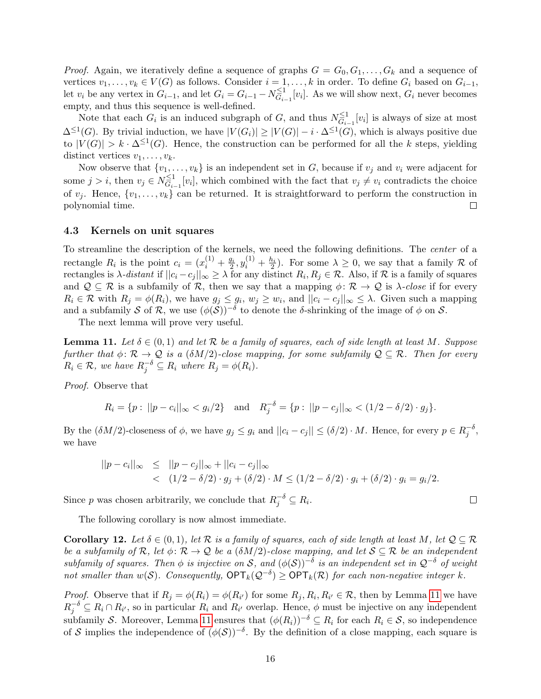*Proof.* Again, we iteratively define a sequence of graphs  $G = G_0, G_1, \ldots, G_k$  and a sequence of vertices  $v_1, \ldots, v_k \in V(G)$  as follows. Consider  $i = 1, \ldots, k$  in order. To define  $G_i$  based on  $G_{i-1}$ , let  $v_i$  be any vertex in  $G_{i-1}$ , and let  $G_i = G_{i-1} - N_{G_i}^{\leq 1}$  $\overline{G}_{i-1}^1[v_i]$ . As we will show next,  $G_i$  never becomes empty, and thus this sequence is well-defined.

Note that each  $G_i$  is an induced subgraph of G, and thus  $N_{G_i}^{\leq 1}$  $\tilde{\overline{G}}_{i-1}^{1}[v_i]$  is always of size at most  $\Delta^{\leq 1}(G)$ . By trivial induction, we have  $|V(G_i)| \geq |V(G)| - i \cdot \Delta^{\leq 1}(G)$ , which is always positive due to  $|V(G)| > k \cdot \Delta^{\leq 1}(G)$ . Hence, the construction can be performed for all the k steps, yielding distinct vertices  $v_1, \ldots, v_k$ .

Now observe that  $\{v_1, \ldots, v_k\}$  is an independent set in G, because if  $v_j$  and  $v_i$  were adjacent for some  $j > i$ , then  $v_j \in N_{G_i}^{\leq 1}$  $\overline{G}_{i-1}^1[v_i]$ , which combined with the fact that  $v_j \neq v_i$  contradicts the choice of  $v_j$ . Hence,  $\{v_1, \ldots, v_k\}$  can be returned. It is straightforward to perform the construction in polynomial time.  $\Box$ 

#### 4.3 Kernels on unit squares

To streamline the description of the kernels, we need the following definitions. The center of a rectangle  $R_i$  is the point  $c_i = (x_i^{(1)} + \frac{g_i}{2}, y_i^{(1)} + \frac{h_i}{2})$ . For some  $\lambda \geq 0$ , we say that a family R of rectangles is  $\lambda$ -distant if  $||c_i - c_j||_{\infty} \ge \lambda$  for any distinct  $R_i, R_j \in \mathcal{R}$ . Also, if  $\mathcal R$  is a family of squares and  $\mathcal{Q} \subseteq \mathcal{R}$  is a subfamily of  $\mathcal{R}$ , then we say that a mapping  $\phi \colon \mathcal{R} \to \mathcal{Q}$  is  $\lambda$ -close if for every  $R_i \in \mathcal{R}$  with  $R_j = \phi(R_i)$ , we have  $g_j \leq g_i$ ,  $w_j \geq w_i$ , and  $||c_i - c_j||_{\infty} \leq \lambda$ . Given such a mapping and a subfamily S of R, we use  $(\phi(\mathcal{S}))^{-\delta}$  to denote the δ-shrinking of the image of  $\phi$  on S.

The next lemma will prove very useful.

<span id="page-15-0"></span>**Lemma 11.** Let  $\delta \in (0,1)$  and let R be a family of squares, each of side length at least M. Suppose further that  $\phi \colon \mathcal{R} \to \mathcal{Q}$  is a  $(\delta M/2)$ -close mapping, for some subfamily  $\mathcal{Q} \subseteq \mathcal{R}$ . Then for every  $R_i \in \mathcal{R}$ , we have  $R_j^{-\delta} \subseteq R_i$  where  $R_j = \phi(R_i)$ .

Proof. Observe that

$$
R_i = \{p : ||p - c_i||_{\infty} < g_i/2\}
$$
 and  $R_j^{-\delta} = \{p : ||p - c_j||_{\infty} < (1/2 - \delta/2) \cdot g_j\}.$ 

By the  $(\delta M/2)$ -closeness of  $\phi$ , we have  $g_j \le g_i$  and  $||c_i - c_j|| \le (\delta/2) \cdot M$ . Hence, for every  $p \in R_j^{-\delta}$ , we have

$$
||p - c_i||_{\infty} \le ||p - c_j||_{\infty} + ||c_i - c_j||_{\infty}
$$
  
<  $(1/2 - \delta/2) \cdot g_j + (\delta/2) \cdot M \le (1/2 - \delta/2) \cdot g_i + (\delta/2) \cdot g_i = g_i/2.$ 

Since p was chosen arbitrarily, we conclude that  $R_j^{-\delta} \subseteq R_i$ .

The following corollary is now almost immediate.

<span id="page-15-1"></span>**Corollary 12.** Let  $\delta \in (0,1)$ , let  $\mathcal{R}$  is a family of squares, each of side length at least M, let  $\mathcal{Q} \subseteq \mathcal{R}$ be a subfamily of R, let  $\phi: \mathcal{R} \to \mathcal{Q}$  be a  $(\delta M/2)$ -close mapping, and let  $\mathcal{S} \subseteq \mathcal{R}$  be an independent subfamily of squares. Then  $\phi$  is injective on S, and  $(\phi(S))^{-\delta}$  is an independent set in  $\mathcal{Q}^{-\delta}$  of weight not smaller than  $w(S)$ . Consequently,  $\mathsf{OPT}_k(\mathcal{Q}^{-\delta}) \geq \mathsf{OPT}_k(\mathcal{R})$  for each non-negative integer k.

*Proof.* Observe that if  $R_j = \phi(R_i) = \phi(R_{i'})$  for some  $R_j, R_i, R_{i'} \in \mathcal{R}$ , then by Lemma [11](#page-15-0) we have  $R_j^{-\delta} \subseteq R_i \cap R_{i'}$ , so in particular  $R_i$  and  $R_{i'}$  overlap. Hence,  $\phi$  must be injective on any independent subfamily S. Moreover, Lemma [11](#page-15-0) ensures that  $(\phi(R_i))^{-\delta} \subseteq R_i$  for each  $R_i \in S$ , so independence of S implies the independence of  $(\phi(\mathcal{S}))^{-\delta}$ . By the definition of a close mapping, each square is

 $\Box$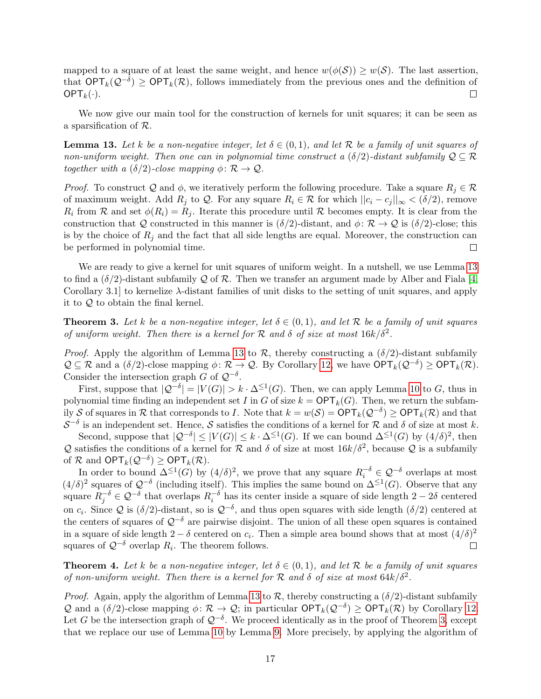mapped to a square of at least the same weight, and hence  $w(\phi(S)) \geq w(S)$ . The last assertion, that  $\mathsf{OPT}_k(\mathcal{Q}^{-\delta}) \geq \mathsf{OPT}_k(\mathcal{R})$ , follows immediately from the previous ones and the definition of  $\mathsf{OPT}_k(\cdot)$ .  $\Box$ 

We now give our main tool for the construction of kernels for unit squares; it can be seen as a sparsification of R.

<span id="page-16-0"></span>**Lemma 13.** Let k be a non-negative integer, let  $\delta \in (0,1)$ , and let R be a family of unit squares of non-uniform weight. Then one can in polynomial time construct a  $(\delta/2)$ -distant subfamily  $\mathcal{Q} \subseteq \mathcal{R}$ together with a  $(\delta/2)$ -close mapping  $\phi \colon \mathcal{R} \to \mathcal{Q}$ .

*Proof.* To construct Q and  $\phi$ , we iteratively perform the following procedure. Take a square  $R_i \in \mathcal{R}$ of maximum weight. Add  $R_i$  to  $\mathcal Q$ . For any square  $R_i \in \mathcal R$  for which  $||c_i - c_j||_{\infty} < (\delta/2)$ , remove  $R_i$  from  $\mathcal R$  and set  $\phi(R_i) = R_j$ . Iterate this procedure until  $\mathcal R$  becomes empty. It is clear from the construction that Q constructed in this manner is  $(\delta/2)$ -distant, and  $\phi \colon \mathcal{R} \to \mathcal{Q}$  is  $(\delta/2)$ -close; this is by the choice of  $R_j$  and the fact that all side lengths are equal. Moreover, the construction can be performed in polynomial time.  $\Box$ 

We are ready to give a kernel for unit squares of uniform weight. In a nutshell, we use Lemma [13](#page-16-0) to find a  $(\delta/2)$ -distant subfamily Q of R. Then we transfer an argument made by Alber and Fiala [\[4,](#page-23-5) Corollary 3.1 to kernelize  $\lambda$ -distant families of unit disks to the setting of unit squares, and apply it to Q to obtain the final kernel.

<span id="page-16-1"></span>**Theorem 3.** Let k be a non-negative integer, let  $\delta \in (0,1)$ , and let R be a family of unit squares of uniform weight. Then there is a kernel for  $R$  and  $\delta$  of size at most  $16k/\delta^2$ .

*Proof.* Apply the algorithm of Lemma [13](#page-16-0) to  $\mathcal{R}$ , thereby constructing a  $(\delta/2)$ -distant subfamily  $\mathcal{Q} \subseteq \mathcal{R}$  and a  $(\delta/2)$ -close mapping  $\phi \colon \mathcal{R} \to \mathcal{Q}$ . By Corollary [12,](#page-15-1) we have  $\mathsf{OPT}_k(\mathcal{Q}^{-\delta}) \geq \mathsf{OPT}_k(\mathcal{R})$ . Consider the intersection graph G of  $\mathcal{Q}^{-\delta}$ .

First, suppose that  $|Q^{-\delta}| = |V(G)| > k \cdot \Delta^{\leq 1}(G)$ . Then, we can apply Lemma [10](#page-14-0) to G, thus in polynomial time finding an independent set I in G of size  $k = \mathsf{OPT}_k(G)$ . Then, we return the subfamily S of squares in R that corresponds to I. Note that  $k = w(S) = \text{OPT}_k(\mathcal{Q}^{-\delta}) \ge \text{OPT}_k(\mathcal{R})$  and that  $S^{-\delta}$  is an independent set. Hence, S satisfies the conditions of a kernel for R and  $\delta$  of size at most k.

Second, suppose that  $|Q^{-\delta}| \leq |V(G)| \leq k \cdot \Delta^{\leq 1}(G)$ . If we can bound  $\Delta^{\leq 1}(G)$  by  $(4/\delta)^2$ , then Q satisfies the conditions of a kernel for R and  $\delta$  of size at most  $16k/\delta^2$ , because Q is a subfamily of  $\mathcal R$  and  $\mathsf{OPT}_k(\mathcal Q^{-\delta}) \geq \mathsf{OPT}_k(\mathcal R)$ .

In order to bound  $\Delta^{\leq 1}(G)$  by  $(4/\delta)^2$ , we prove that any square  $R_i^{-\delta} \in \mathcal{Q}^{-\delta}$  overlaps at most  $(4/\delta)^2$  squares of  $\mathcal{Q}^{-\delta}$  (including itself). This implies the same bound on  $\Delta^{\leq 1}(G)$ . Observe that any square  $R_j^{-\delta} \in \mathcal{Q}^{-\delta}$  that overlaps  $R_i^{-\delta}$  has its center inside a square of side length  $2-2\delta$  centered on  $c_i$ . Since Q is  $(\delta/2)$ -distant, so is  $\mathcal{Q}^{-\delta}$ , and thus open squares with side length  $(\delta/2)$  centered at the centers of squares of  $\mathcal{Q}^{-\delta}$  are pairwise disjoint. The union of all these open squares is contained in a square of side length  $2 - \delta$  centered on  $c_i$ . Then a simple area bound shows that at most  $(4/\delta)^2$ squares of  $\mathcal{Q}^{-\delta}$  overlap  $R_i$ . The theorem follows.  $\Box$ 

<span id="page-16-2"></span>**Theorem 4.** Let k be a non-negative integer, let  $\delta \in (0,1)$ , and let R be a family of unit squares of non-uniform weight. Then there is a kernel for  $R$  and  $\delta$  of size at most  $64k/\delta^2$ .

*Proof.* Again, apply the algorithm of Lemma [13](#page-16-0) to  $\mathcal{R}$ , thereby constructing a  $(\delta/2)$ -distant subfamily Q and a  $(\delta/2)$ -close mapping  $\phi \colon \mathcal{R} \to \mathcal{Q}$ ; in particular  $\mathsf{OPT}_k(\mathcal{Q}^{-\delta}) \geq \mathsf{OPT}_k(\mathcal{R})$  by Corollary [12.](#page-15-1) Let G be the intersection graph of  $\mathcal{Q}^{-\delta}$ . We proceed identically as in the proof of Theorem [3,](#page-16-1) except that we replace our use of Lemma [10](#page-14-0) by Lemma [9.](#page-14-1) More precisely, by applying the algorithm of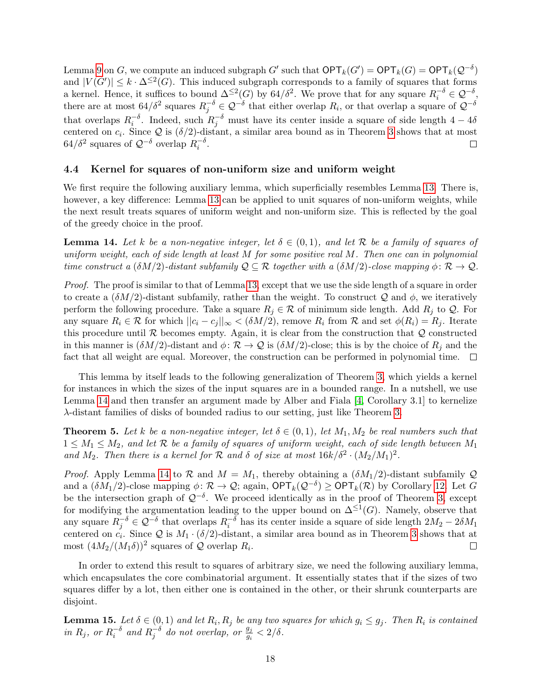Lemma [9](#page-14-1) on G, we compute an induced subgraph G' such that  $\mathsf{OPT}_k(G') = \mathsf{OPT}_k(G) = \mathsf{OPT}_k(\mathcal{Q}^{-\delta})$ and  $|V(G')| \leq k \cdot \Delta^{\leq 2}(G)$ . This induced subgraph corresponds to a family of squares that forms a kernel. Hence, it suffices to bound  $\Delta^{\leq 2}(G)$  by 64/ $\delta^2$ . We prove that for any square  $R_i^{-\delta} \in \mathcal{Q}^{-\delta}$ . there are at most  $64/\delta^2$  squares  $R_j^{-\delta} \in \mathcal{Q}^{-\delta}$  that either overlap  $R_i$ , or that overlap a square of  $\mathcal{Q}^{-\delta}$ that overlaps  $R_i^{-\delta}$ . Indeed, such  $R_j^{-\delta}$  must have its center inside a square of side length  $4-4\delta$ centered on  $c_i$ . Since Q is  $(\delta/2)$ -distant, a similar area bound as in Theorem [3](#page-16-1) shows that at most  $64/\delta^2$  squares of  $\mathcal{Q}^{-\delta}$  overlap  $R_i^{-\delta}$ .  $\Box$ 

### 4.4 Kernel for squares of non-uniform size and uniform weight

We first require the following auxiliary lemma, which superficially resembles Lemma [13.](#page-16-0) There is, however, a key difference: Lemma [13](#page-16-0) can be applied to unit squares of non-uniform weights, while the next result treats squares of uniform weight and non-uniform size. This is reflected by the goal of the greedy choice in the proof.

<span id="page-17-0"></span>**Lemma 14.** Let k be a non-negative integer, let  $\delta \in (0,1)$ , and let R be a family of squares of uniform weight, each of side length at least  $M$  for some positive real  $M$ . Then one can in polynomial time construct a  $(\delta M/2)$ -distant subfamily  $\mathcal{Q} \subseteq \mathcal{R}$  together with a  $(\delta M/2)$ -close mapping  $\phi \colon \mathcal{R} \to \mathcal{Q}$ .

Proof. The proof is similar to that of Lemma [13,](#page-16-0) except that we use the side length of a square in order to create a  $(\delta M/2)$ -distant subfamily, rather than the weight. To construct Q and  $\phi$ , we iteratively perform the following procedure. Take a square  $R_j \in \mathcal{R}$  of minimum side length. Add  $R_j$  to  $\mathcal{Q}$ . For any square  $R_i \in \mathcal{R}$  for which  $||c_i - c_j||_{\infty} < (\delta M/2)$ , remove  $R_i$  from  $\mathcal{R}$  and set  $\phi(R_i) = R_j$ . Iterate this procedure until  $\mathcal R$  becomes empty. Again, it is clear from the construction that  $\mathcal Q$  constructed in this manner is  $(\delta M/2)$ -distant and  $\phi \colon \mathcal{R} \to \mathcal{Q}$  is  $(\delta M/2)$ -close; this is by the choice of  $R_i$  and the fact that all weight are equal. Moreover, the construction can be performed in polynomial time.  $\Box$ 

This lemma by itself leads to the following generalization of Theorem [3,](#page-16-1) which yields a kernel for instances in which the sizes of the input squares are in a bounded range. In a nutshell, we use Lemma [14](#page-17-0) and then transfer an argument made by Alber and Fiala [\[4,](#page-23-5) Corollary 3.1] to kernelize λ-distant families of disks of bounded radius to our setting, just like Theorem [3.](#page-16-1)

<span id="page-17-2"></span>**Theorem 5.** Let k be a non-negative integer, let  $\delta \in (0,1)$ , let  $M_1, M_2$  be real numbers such that  $1 \leq M_1 \leq M_2$ , and let R be a family of squares of uniform weight, each of side length between  $M_1$ and  $M_2$ . Then there is a kernel for  $\mathcal R$  and  $\delta$  of size at most  $16k/\delta^2 \cdot (M_2/M_1)^2$ .

*Proof.* Apply Lemma [14](#page-17-0) to  $\mathcal R$  and  $M = M_1$ , thereby obtaining a  $(\delta M_1/2)$ -distant subfamily  $\mathcal Q$ and a  $(\delta M_1/2)$ -close mapping  $\phi \colon \mathcal{R} \to \mathcal{Q}$ ; again,  $\mathsf{OPT}_k(\mathcal{Q}^{-\delta}) \geq \mathsf{OPT}_k(\mathcal{R})$  by Corollary [12.](#page-15-1) Let G be the intersection graph of  $\mathcal{Q}^{-\delta}$ . We proceed identically as in the proof of Theorem [3,](#page-16-1) except for modifying the argumentation leading to the upper bound on  $\Delta^{\leq 1}(G)$ . Namely, observe that any square  $R_j^{-\delta} \in \mathcal{Q}^{-\delta}$  that overlaps  $R_i^{-\delta}$  has its center inside a square of side length  $2M_2 - 2\delta M_1$ centered on  $c_i$ . Since Q is  $M_1 \cdot (\delta/2)$ -distant, a similar area bound as in Theorem [3](#page-16-1) shows that at most  $(4M_2/(M_1\delta))^2$  squares of Q overlap  $R_i$ .  $\Box$ 

In order to extend this result to squares of arbitrary size, we need the following auxiliary lemma, which encapsulates the core combinatorial argument. It essentially states that if the sizes of two squares differ by a lot, then either one is contained in the other, or their shrunk counterparts are disjoint.

<span id="page-17-1"></span>**Lemma 15.** Let  $\delta \in (0,1)$  and let  $R_i, R_j$  be any two squares for which  $g_i \leq g_j$ . Then  $R_i$  is contained in  $R_j$ , or  $R_i^{-\delta}$  and  $R_j^{-\delta}$  do not overlap, or  $\frac{g_j}{g_i} < 2/\delta$ .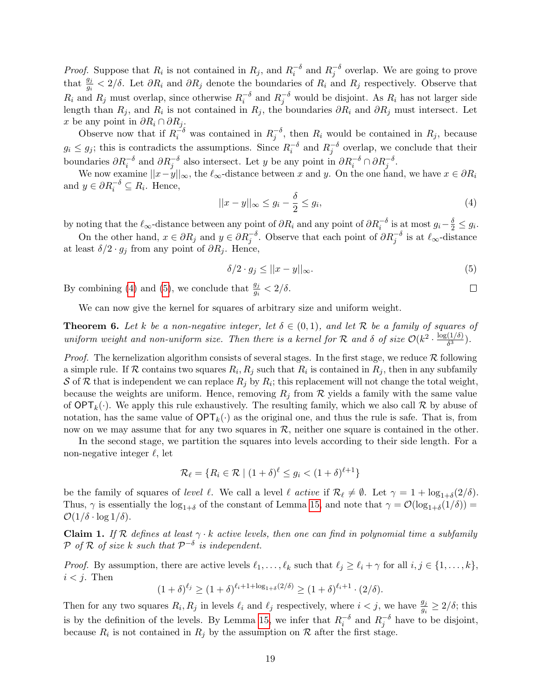*Proof.* Suppose that  $R_i$  is not contained in  $R_j$ , and  $R_i^{-\delta}$  and  $R_j^{-\delta}$  overlap. We are going to prove that  $\frac{g_j}{g_i} < 2/\delta$ . Let  $\partial R_i$  and  $\partial R_j$  denote the boundaries of  $R_i$  and  $R_j$  respectively. Observe that  $R_i$  and  $R_j$  must overlap, since otherwise  $R_i^{-\delta}$  and  $R_j^{-\delta}$  would be disjoint. As  $R_i$  has not larger side length than  $R_j$ , and  $R_i$  is not contained in  $R_j$ , the boundaries  $\partial R_i$  and  $\partial R_j$  must intersect. Let x be any point in  $\partial R_i \cap \partial R_j$ .

Observe now that if  $R_i^{-\delta}$  was contained in  $R_j^{-\delta}$ , then  $R_i$  would be contained in  $R_j$ , because  $g_i \leq g_j$ ; this is contradicts the assumptions. Since  $R_i^{-\delta}$  and  $R_j^{-\delta}$  overlap, we conclude that their boundaries  $\partial R_i^{-\delta}$  and  $\partial R_j^{-\delta}$  also intersect. Let y be any point in  $\partial R_i^{-\delta} \cap \partial R_j^{-\delta}$ .

We now examine  $||x-y||_{\infty}$ , the  $\ell_{\infty}$ -distance between x and y. On the one hand, we have  $x \in \partial R_i$ and  $y \in \partial R_i^{-\delta} \subseteq R_i$ . Hence,

<span id="page-18-0"></span>
$$
||x - y||_{\infty} \le g_i - \frac{\delta}{2} \le g_i,
$$
\n(4)

by noting that the  $\ell_{\infty}$ -distance between any point of  $\partial R_i$  and any point of  $\partial R_i^{-\delta}$  is at most  $g_i - \frac{\delta}{2} \leq g_i$ .

On the other hand,  $x \in \partial R_j$  and  $y \in \partial R_j^{-\delta}$ . Observe that each point of  $\partial R_j^{-\delta}$  is at  $\ell_{\infty}$ -distance at least  $\delta/2 \cdot g_j$  from any point of  $\partial R_j$ . Hence,

<span id="page-18-1"></span>
$$
\delta/2 \cdot g_j \le ||x - y||_{\infty}.\tag{5}
$$

 $\Box$ 

By combining [\(4\)](#page-18-0) and [\(5\)](#page-18-1), we conclude that  $\frac{g_j}{g_i} < 2/\delta$ .

We can now give the kernel for squares of arbitrary size and uniform weight.

<span id="page-18-3"></span>**Theorem 6.** Let k be a non-negative integer, let  $\delta \in (0,1)$ , and let R be a family of squares of uniform weight and non-uniform size. Then there is a kernel for R and  $\delta$  of size  $\mathcal{O}(k^2 \cdot \frac{\log(1/\delta)}{\delta^3})$  $\frac{(1/0)}{\delta^3}$ ).

*Proof.* The kernelization algorithm consists of several stages. In the first stage, we reduce  $\mathcal R$  following a simple rule. If R contains two squares  $R_i, R_j$  such that  $R_i$  is contained in  $R_j$ , then in any subfamily S of R that is independent we can replace  $R_j$  by  $R_i$ ; this replacement will not change the total weight, because the weights are uniform. Hence, removing  $R_j$  from  $\mathcal R$  yields a family with the same value of  $\text{OPT}_k(\cdot)$ . We apply this rule exhaustively. The resulting family, which we also call  $\mathcal R$  by abuse of notation, has the same value of  $\mathsf{OPT}_k(\cdot)$  as the original one, and thus the rule is safe. That is, from now on we may assume that for any two squares in  $R$ , neither one square is contained in the other.

In the second stage, we partition the squares into levels according to their side length. For a non-negative integer  $\ell$ , let

$$
\mathcal{R}_{\ell} = \{ R_i \in \mathcal{R} \mid (1+\delta)^{\ell} \le g_i < (1+\delta)^{\ell+1} \}
$$

be the family of squares of *level*  $\ell$ . We call a level  $\ell$  active if  $\mathcal{R}_{\ell} \neq \emptyset$ . Let  $\gamma = 1 + \log_{1+\delta}(2/\delta)$ . Thus,  $\gamma$  is essentially the  $\log_{1+\delta}$  of the constant of Lemma [15,](#page-17-1) and note that  $\gamma = \mathcal{O}(\log_{1+\delta}(1/\delta))$  $\mathcal{O}(1/\delta \cdot \log 1/\delta).$ 

<span id="page-18-2"></span>**Claim 1.** If R defines at least  $\gamma \cdot k$  active levels, then one can find in polynomial time a subfamily P of R of size k such that  $\mathcal{P}^{-\delta}$  is independent.

*Proof.* By assumption, there are active levels  $\ell_1, \ldots, \ell_k$  such that  $\ell_j \geq \ell_i + \gamma$  for all  $i, j \in \{1, \ldots, k\}$ ,  $i < j$ . Then

 $(1+\delta)^{\ell_j} \ge (1+\delta)^{\ell_i+1+\log_{1+\delta}(2/\delta)} \ge (1+\delta)^{\ell_i+1} \cdot (2/\delta).$ 

Then for any two squares  $R_i, R_j$  in levels  $\ell_i$  and  $\ell_j$  respectively, where  $i < j$ , we have  $\frac{g_j}{g_i} \geq 2/\delta$ ; this is by the definition of the levels. By Lemma [15,](#page-17-1) we infer that  $R_i^{-\delta}$  and  $R_j^{-\delta}$  have to be disjoint, because  $R_i$  is not contained in  $R_j$  by the assumption on  $\mathcal R$  after the first stage.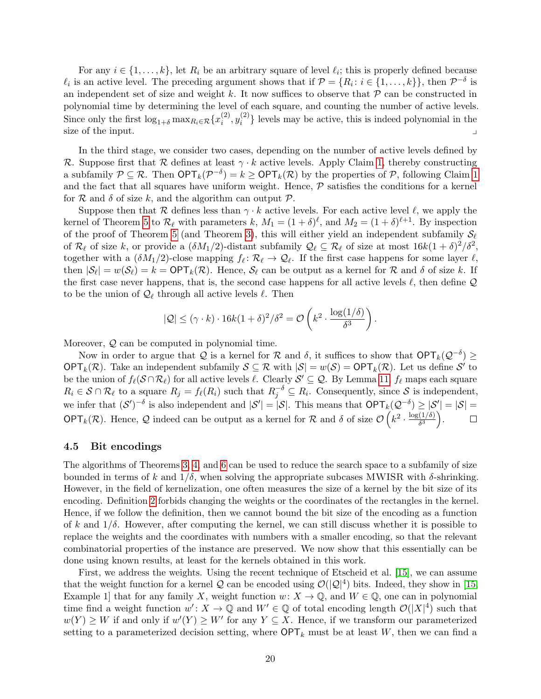For any  $i \in \{1, \ldots, k\}$ , let  $R_i$  be an arbitrary square of level  $\ell_i$ ; this is properly defined because  $\ell_i$  is an active level. The preceding argument shows that if  $\mathcal{P} = \{R_i : i \in \{1, ..., k\}\}\$ , then  $\mathcal{P}^{-\delta}$  is an independent set of size and weight k. It now suffices to observe that  $P$  can be constructed in polynomial time by determining the level of each square, and counting the number of active levels. Since only the first  $\log_{1+\delta} \max_{R_i \in \mathcal{R}} \{x_i^{(2)}\}$  $\binom{2}{i}, y_i^{(2)}$  $\binom{1}{i}$  levels may be active, this is indeed polynomial in the size of the input. y

In the third stage, we consider two cases, depending on the number of active levels defined by R. Suppose first that R defines at least  $\gamma \cdot k$  active levels. Apply Claim [1,](#page-18-2) thereby constructing a subfamily  $P \subseteq \mathcal{R}$ . Then  $\mathsf{OPT}_k(P^{-\delta}) = k \geq \mathsf{OPT}_k(\mathcal{R})$  by the properties of  $\mathcal{P}$ , following Claim [1](#page-18-2) and the fact that all squares have uniform weight. Hence,  $P$  satisfies the conditions for a kernel for  $R$  and  $\delta$  of size k, and the algorithm can output  $P$ .

Suppose then that R defines less than  $\gamma \cdot k$  active levels. For each active level  $\ell$ , we apply the kernel of Theorem [5](#page-17-2) to  $\mathcal{R}_{\ell}$  with parameters k,  $M_1 = (1 + \delta)^{\ell}$ , and  $M_2 = (1 + \delta)^{\ell+1}$ . By inspection of the proof of Theorem [5](#page-17-2) (and Theorem [3\)](#page-16-1), this will either yield an independent subfamily  $\mathcal{S}_{\ell}$ of  $\mathcal{R}_\ell$  of size k, or provide a  $(\delta M_1/2)$ -distant subfamily  $\mathcal{Q}_\ell \subseteq \mathcal{R}_\ell$  of size at most  $16k(1 + \delta)^2/\delta^2$ , together with a  $(\delta M_1/2)$ -close mapping  $f_\ell \colon \mathcal{R}_\ell \to \mathcal{Q}_\ell$ . If the first case happens for some layer  $\ell$ , then  $|\mathcal{S}_{\ell}| = w(\mathcal{S}_{\ell}) = k = \text{OPT}_k(\mathcal{R})$ . Hence,  $\mathcal{S}_{\ell}$  can be output as a kernel for  $\mathcal R$  and  $\delta$  of size k. If the first case never happens, that is, the second case happens for all active levels  $\ell$ , then define  $\mathcal Q$ to be the union of  $\mathcal{Q}_\ell$  through all active levels  $\ell$ . Then

$$
|\mathcal{Q}| \leq (\gamma \cdot k) \cdot 16k(1+\delta)^2/\delta^2 = \mathcal{O}\left(k^2 \cdot \frac{\log(1/\delta)}{\delta^3}\right).
$$

Moreover,  $Q$  can be computed in polynomial time.

Now in order to argue that Q is a kernel for R and  $\delta$ , it suffices to show that  $\mathsf{OPT}_k(\mathcal{Q}^{-\delta}) \geq$ OPT<sub>k</sub>(R). Take an independent subfamily  $S \subseteq \mathcal{R}$  with  $|S| = w(S) = \text{OPT}_k(\mathcal{R})$ . Let us define S' to be the union of  $f_\ell(\mathcal{S} \cap \mathcal{R}_\ell)$  for all active levels  $\ell$ . Clearly  $\mathcal{S}' \subseteq \mathcal{Q}$ . By Lemma [11,](#page-15-0)  $f_\ell$  maps each square  $R_i \in \mathcal{S} \cap \mathcal{R}_\ell$  to a square  $R_j = f_\ell(R_i)$  such that  $R_j^{-\delta} \subseteq R_i$ . Consequently, since  $\mathcal{S}$  is independent, we infer that  $(S')^{-\delta}$  is also independent and  $|S'| = |S|$ . This means that  $\mathsf{OPT}_k(\mathcal{Q}^{-\delta}) \geq |S'| = |S| =$ OPT<sub>k</sub>(R). Hence, Q indeed can be output as a kernel for R and  $\delta$  of size  $\mathcal{O}\left(k^2 \cdot \frac{\log(1/\delta)}{\delta^3}\right)$  $\frac{(1/\delta)}{\delta^3}$ .  $\Box$ 

### 4.5 Bit encodings

The algorithms of Theorems [3,](#page-16-1) [4,](#page-16-2) and [6](#page-18-3) can be used to reduce the search space to a subfamily of size bounded in terms of k and  $1/\delta$ , when solving the appropriate subcases MWISR with  $\delta$ -shrinking. However, in the field of kernelization, one often measures the size of a kernel by the bit size of its encoding. Definition [2](#page-13-1) forbids changing the weights or the coordinates of the rectangles in the kernel. Hence, if we follow the definition, then we cannot bound the bit size of the encoding as a function of k and  $1/\delta$ . However, after computing the kernel, we can still discuss whether it is possible to replace the weights and the coordinates with numbers with a smaller encoding, so that the relevant combinatorial properties of the instance are preserved. We now show that this essentially can be done using known results, at least for the kernels obtained in this work.

First, we address the weights. Using the recent technique of Etscheid et al. [\[15\]](#page-24-14), we can assume that the weight function for a kernel Q can be encoded using  $\mathcal{O}(|Q|^4)$  bits. Indeed, they show in [\[15,](#page-24-14) Example 1 that for any family X, weight function  $w: X \to \mathbb{Q}$ , and  $W \in \mathbb{Q}$ , one can in polynomial time find a weight function  $w' : X \to \mathbb{Q}$  and  $W' \in \mathbb{Q}$  of total encoding length  $\mathcal{O}(|X|^4)$  such that  $w(Y) \geq W$  if and only if  $w'(Y) \geq W'$  for any  $Y \subseteq X$ . Hence, if we transform our parameterized setting to a parameterized decision setting, where  $\mathsf{OPT}_k$  must be at least W, then we can find a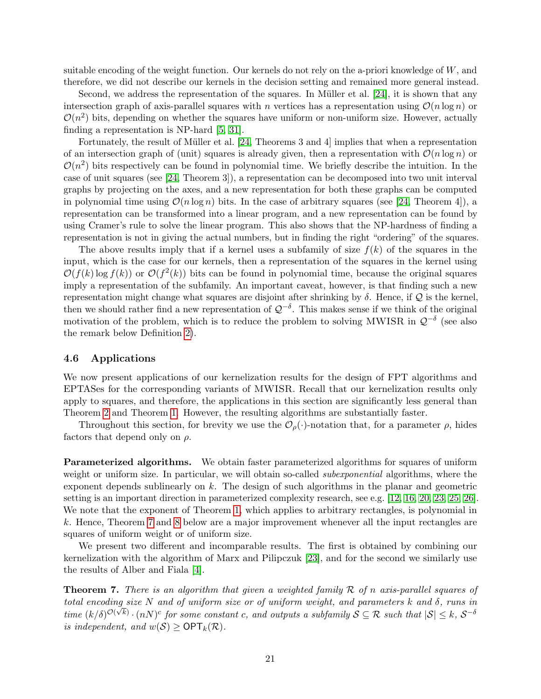suitable encoding of the weight function. Our kernels do not rely on the a-priori knowledge of  $W$ , and therefore, we did not describe our kernels in the decision setting and remained more general instead.

Second, we address the representation of the squares. In Müller et al.  $[24]$ , it is shown that any intersection graph of axis-parallel squares with n vertices has a representation using  $\mathcal{O}(n \log n)$  or  $\mathcal{O}(n^2)$  bits, depending on whether the squares have uniform or non-uniform size. However, actually finding a representation is NP-hard [\[5,](#page-23-8) [31\]](#page-24-16).

Fortunately, the result of Müller et al.  $[24,$  Theorems 3 and 4 implies that when a representation of an intersection graph of (unit) squares is already given, then a representation with  $\mathcal{O}(n \log n)$  or  $\mathcal{O}(n^2)$  bits respectively can be found in polynomial time. We briefly describe the intuition. In the case of unit squares (see [\[24,](#page-24-15) Theorem 3]), a representation can be decomposed into two unit interval graphs by projecting on the axes, and a new representation for both these graphs can be computed in polynomial time using  $\mathcal{O}(n \log n)$  bits. In the case of arbitrary squares (see [\[24,](#page-24-15) Theorem 4]), a representation can be transformed into a linear program, and a new representation can be found by using Cramer's rule to solve the linear program. This also shows that the NP-hardness of finding a representation is not in giving the actual numbers, but in finding the right "ordering" of the squares.

The above results imply that if a kernel uses a subfamily of size  $f(k)$  of the squares in the input, which is the case for our kernels, then a representation of the squares in the kernel using  $\mathcal{O}(f(k) \log f(k))$  or  $\mathcal{O}(f^2(k))$  bits can be found in polynomial time, because the original squares imply a representation of the subfamily. An important caveat, however, is that finding such a new representation might change what squares are disjoint after shrinking by  $\delta$ . Hence, if  $\mathcal Q$  is the kernel, then we should rather find a new representation of  $\mathcal{Q}^{-\delta}$ . This makes sense if we think of the original motivation of the problem, which is to reduce the problem to solving MWISR in  $\mathcal{Q}^{-\delta}$  (see also the remark below Definition [2\)](#page-13-1).

### 4.6 Applications

We now present applications of our kernelization results for the design of FPT algorithms and EPTASes for the corresponding variants of MWISR. Recall that our kernelization results only apply to squares, and therefore, the applications in this section are significantly less general than Theorem [2](#page-3-2) and Theorem [1.](#page-3-3) However, the resulting algorithms are substantially faster.

Throughout this section, for brevity we use the  $\mathcal{O}_{\rho}(\cdot)$ -notation that, for a parameter  $\rho$ , hides factors that depend only on  $\rho$ .

Parameterized algorithms. We obtain faster parameterized algorithms for squares of uniform weight or uniform size. In particular, we will obtain so-called *subexponential* algorithms, where the exponent depends sublinearly on k. The design of such algorithms in the planar and geometric setting is an important direction in parameterized complexity research, see e.g. [\[12,](#page-24-17) [16,](#page-24-18) [20,](#page-24-19) [23,](#page-24-8) [25,](#page-24-20) [26\]](#page-24-21). We note that the exponent of Theorem [1,](#page-3-3) which applies to arbitrary rectangles, is polynomial in k. Hence, Theorem [7](#page-20-0) and [8](#page-21-0) below are a major improvement whenever all the input rectangles are squares of uniform weight or of uniform size.

We present two different and incomparable results. The first is obtained by combining our kernelization with the algorithm of Marx and Pilipczuk [\[23\]](#page-24-8), and for the second we similarly use the results of Alber and Fiala [\[4\]](#page-23-5).

<span id="page-20-0"></span>**Theorem 7.** There is an algorithm that given a weighted family  $\mathcal{R}$  of n axis-parallel squares of total encoding size N and of uniform size or of uniform weight, and parameters k and  $\delta$ , runs in time  $(k/\delta)^{\mathcal{O}(\sqrt{k})} \cdot (nN)^c$  for some constant c, and outputs a subfamily  $\mathcal{S} \subseteq \mathcal{R}$  such that  $|\mathcal{S}| \leq k$ ,  $\mathcal{S}^{-\delta}$ is independent, and  $w(S) \ge \text{OPT}_k(\mathcal{R})$ .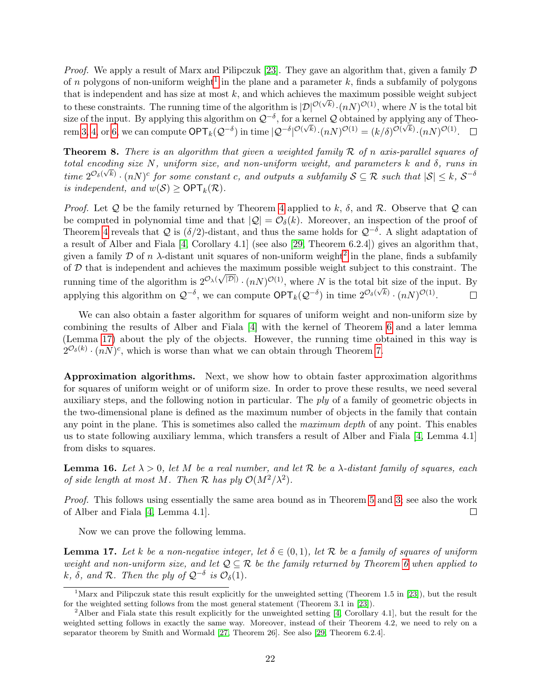*Proof.* We apply a result of Marx and Pilipczuk [\[23\]](#page-24-8). They gave an algorithm that, given a family  $D$ of n polygons of non-uniform weight<sup>[1](#page-21-1)</sup> in the plane and a parameter k, finds a subfamily of polygons that is independent and has size at most k, and which achieves the maximum possible weight subject to these constraints. The running time of the algorithm is  $|\mathcal{D}|^{\mathcal{O}(\sqrt{k})} \cdot (nN)^{\mathcal{O}(1)}$ , where N is the total bit size of the input. By applying this algorithm on  $\mathcal{Q}^{-\delta}$ , for a kernel  $\mathcal Q$  obtained by applying any of Theosize of the input. By applying this algorithm on  $\gtrsim$  , for a kerner  $\gtrsim$  obtained by applying any of 1 rem [3,](#page-16-1) [4,](#page-16-2) or [6,](#page-18-3) we can compute  $\mathsf{OPT}_k(\mathcal{Q}^{-\delta})$  in time  $|\mathcal{Q}^{-\delta}|^{\mathcal{O}(\sqrt{k})} \cdot (nN)^{\mathcal{O}(1)} = (k/\delta)^{\mathcal{O}(\sqrt{k})}$ 

<span id="page-21-0"></span>**Theorem 8.** There is an algorithm that given a weighted family  $\mathcal{R}$  of n axis-parallel squares of total encoding size N, uniform size, and non-uniform weight, and parameters k and  $\delta$ , runs in time  $2^{\mathcal{O}_{\delta}(\sqrt{k})} \cdot (nN)^c$  for some constant c, and outputs a subfamily  $S \subseteq \mathcal{R}$  such that  $|\mathcal{S}| \leq k$ ,  $\mathcal{S}^{-\delta}$ is independent, and  $w(S) \ge \text{OPT}_k(\mathcal{R})$ .

*Proof.* Let Q be the family returned by Theorem [4](#page-16-2) applied to k,  $\delta$ , and R. Observe that Q can be computed in polynomial time and that  $|Q| = \mathcal{O}_{\delta}(k)$ . Moreover, an inspection of the proof of Theorem [4](#page-16-2) reveals that Q is  $(\delta/2)$ -distant, and thus the same holds for  $\mathcal{Q}^{-\delta}$ . A slight adaptation of a result of Alber and Fiala [\[4,](#page-23-5) Corollary 4.1] (see also [\[29,](#page-24-22) Theorem 6.2.4]) gives an algorithm that, given a family  $D$  of n  $\lambda$ -distant unit squares of non-uniform weight<sup>[2](#page-21-2)</sup> in the plane, finds a subfamily of  $D$  that is independent and achieves the maximum possible weight subject to this constraint. The running time of the algorithm is  $2^{\mathcal{O}_{\lambda}(\sqrt{|\mathcal{D}|})}\cdot (n)^{\mathcal{O}(1)}$ , where N is the total bit size of the input. By applying this algorithm on  $\mathcal{Q}^{-\delta}$ , we can compute  $\mathsf{OPT}_k(\mathcal{Q}^{-\delta})$  in time  $2^{\mathcal{O}_{\delta}(\sqrt{k})} \cdot (nN)^{\mathcal{O}(1)}$ .  $\Box$ 

We can also obtain a faster algorithm for squares of uniform weight and non-uniform size by combining the results of Alber and Fiala [\[4\]](#page-23-5) with the kernel of Theorem [6](#page-18-3) and a later lemma (Lemma [17\)](#page-21-3) about the ply of the objects. However, the running time obtained in this way is  $2^{\mathcal{O}_{\delta}(k)} \cdot (nN)^c$ , which is worse than what we can obtain through Theorem [7.](#page-20-0)

Approximation algorithms. Next, we show how to obtain faster approximation algorithms for squares of uniform weight or of uniform size. In order to prove these results, we need several auxiliary steps, and the following notion in particular. The ply of a family of geometric objects in the two-dimensional plane is defined as the maximum number of objects in the family that contain any point in the plane. This is sometimes also called the *maximum depth* of any point. This enables us to state following auxiliary lemma, which transfers a result of Alber and Fiala [\[4,](#page-23-5) Lemma 4.1] from disks to squares.

<span id="page-21-4"></span>**Lemma 16.** Let  $\lambda > 0$ , let M be a real number, and let R be a  $\lambda$ -distant family of squares, each of side length at most M. Then R has ply  $\mathcal{O}(M^2/\lambda^2)$ .

Proof. This follows using essentially the same area bound as in Theorem [5](#page-17-2) and [3;](#page-16-1) see also the work of Alber and Fiala [\[4,](#page-23-5) Lemma 4.1].  $\Box$ 

Now we can prove the following lemma.

<span id="page-21-3"></span>**Lemma 17.** Let k be a non-negative integer, let  $\delta \in (0,1)$ , let R be a family of squares of uniform weight and non-uniform size, and let  $\mathcal{Q} \subseteq \mathcal{R}$  be the family returned by Theorem [6](#page-18-3) when applied to k,  $\delta$ , and R. Then the ply of  $\mathcal{Q}^{-\delta}$  is  $\mathcal{O}_{\delta}(1)$ .

<span id="page-21-1"></span> $\overline{1}_{\text{Marx}}$  and Pilipczuk state this result explicitly for the unweighted setting (Theorem 1.5 in [\[23\]](#page-24-8)), but the result for the weighted setting follows from the most general statement (Theorem 3.1 in [\[23\]](#page-24-8)).

<span id="page-21-2"></span><sup>&</sup>lt;sup>2</sup>Alber and Fiala state this result explicitly for the unweighted setting [\[4,](#page-23-5) Corollary 4.1], but the result for the weighted setting follows in exactly the same way. Moreover, instead of their Theorem 4.2, we need to rely on a separator theorem by Smith and Wormald [\[27,](#page-24-23) Theorem 26]. See also [\[29,](#page-24-22) Theorem 6.2.4].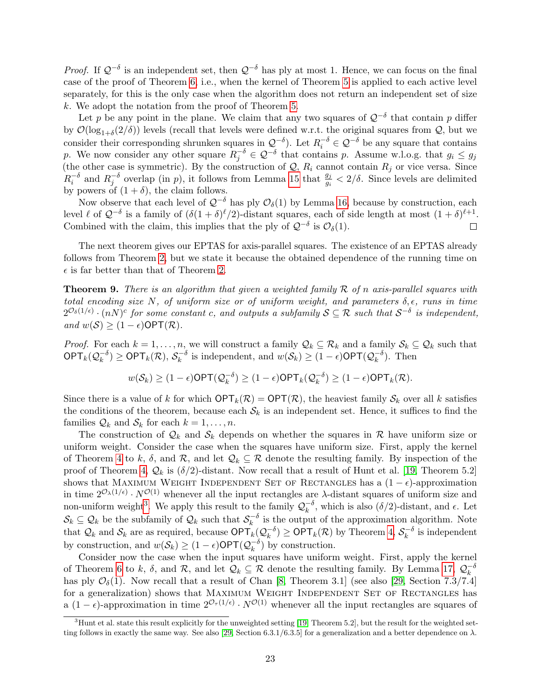*Proof.* If  $Q^{-\delta}$  is an independent set, then  $Q^{-\delta}$  has ply at most 1. Hence, we can focus on the final case of the proof of Theorem [6,](#page-18-3) i.e., when the kernel of Theorem [5](#page-17-2) is applied to each active level separately, for this is the only case when the algorithm does not return an independent set of size k. We adopt the notation from the proof of Theorem [5.](#page-17-2)

Let p be any point in the plane. We claim that any two squares of  $\mathcal{Q}^{-\delta}$  that contain p differ by  $\mathcal{O}(\log_{1+\delta}(2/\delta))$  levels (recall that levels were defined w.r.t. the original squares from  $\mathcal{Q}$ , but we consider their corresponding shrunken squares in  $\mathcal{Q}^{-\delta}$ . Let  $R_i^{-\delta} \in \mathcal{Q}^{-\delta}$  be any square that contains p. We now consider any other square  $R_j^{-\delta} \in \mathcal{Q}^{-\delta}$  that contains p. Assume w.l.o.g. that  $g_i \leq g_j$ (the other case is symmetric). By the construction of  $\mathcal{Q}, R_i$  cannot contain  $R_j$  or vice versa. Since  $R_i^{-\delta}$  and  $R_j^{-\delta}$  overlap (in p), it follows from Lemma [15](#page-17-1) that  $\frac{g_j}{g_i} < 2/\delta$ . Since levels are delimited by powers of  $(1 + \delta)$ , the claim follows.

Now observe that each level of  $\mathcal{Q}^{-\delta}$  has ply  $\mathcal{O}_{\delta}(1)$  by Lemma [16,](#page-21-4) because by construction, each level  $\ell$  of  $\mathcal{Q}^{-\delta}$  is a family of  $(\delta(1+\delta)^{\ell}/2)$ -distant squares, each of side length at most  $(1+\delta)^{\ell+1}$ . Combined with the claim, this implies that the ply of  $\mathcal{Q}^{-\delta}$  is  $\mathcal{O}_{\delta}(1)$ .  $\Box$ 

The next theorem gives our EPTAS for axis-parallel squares. The existence of an EPTAS already follows from Theorem [2,](#page-3-2) but we state it because the obtained dependence of the running time on  $\epsilon$  is far better than that of Theorem [2.](#page-3-2)

**Theorem 9.** There is an algorithm that given a weighted family  $\mathcal{R}$  of n axis-parallel squares with total encoding size N, of uniform size or of uniform weight, and parameters  $\delta, \epsilon$ , runs in time  $2^{\mathcal{O}_{\delta}(1/\epsilon)} \cdot (nN)^c$  for some constant c, and outputs a subfamily  $S \subseteq \mathcal{R}$  such that  $S^{-\delta}$  is independent, and  $w(S) \geq (1 - \epsilon) \text{OPT}(\mathcal{R})$ .

*Proof.* For each  $k = 1, \ldots, n$ , we will construct a family  $\mathcal{Q}_k \subseteq \mathcal{R}_k$  and a family  $\mathcal{S}_k \subseteq \mathcal{Q}_k$  such that  $\mathsf{OPT}_k(\mathcal{Q}_k^{-\delta}$  $(\overline{k}^{\delta}) \geq \mathsf{OPT}_k(\mathcal{R}),\, \mathcal{S}_k^{-\delta}$  $\sum_{k=0}^{k} k$  is independent, and  $w(S_k) \geq (1 - \epsilon) \text{OPT}(\mathcal{Q}_k^{-\delta})$  $\binom{-\delta}{k}$ . Then

$$
w(S_k) \ge (1 - \epsilon) \mathsf{OPT}(\mathcal{Q}_k^{-\delta}) \ge (1 - \epsilon) \mathsf{OPT}_k(\mathcal{Q}_k^{-\delta}) \ge (1 - \epsilon) \mathsf{OPT}_k(\mathcal{R}).
$$

Since there is a value of k for which  $\mathsf{OPT}_k(\mathcal{R}) = \mathsf{OPT}(\mathcal{R})$ , the heaviest family  $\mathcal{S}_k$  over all k satisfies the conditions of the theorem, because each  $S_k$  is an independent set. Hence, it suffices to find the families  $\mathcal{Q}_k$  and  $\mathcal{S}_k$  for each  $k = 1, \ldots, n$ .

The construction of  $\mathcal{Q}_k$  and  $\mathcal{S}_k$  depends on whether the squares in R have uniform size or uniform weight. Consider the case when the squares have uniform size. First, apply the kernel of Theorem [4](#page-16-2) to k,  $\delta$ , and  $\mathcal{R}$ , and let  $\mathcal{Q}_k \subseteq \mathcal{R}$  denote the resulting family. By inspection of the proof of Theorem [4,](#page-16-2)  $\mathcal{Q}_k$  is  $(\delta/2)$ -distant. Now recall that a result of Hunt et al. [\[19,](#page-24-10) Theorem 5.2] shows that MAXIMUM WEIGHT INDEPENDENT SET OF RECTANGLES has a  $(1 - \epsilon)$ -approximation in time  $2^{\mathcal{O}_{\lambda}(1/\epsilon)} \cdot N^{\mathcal{O}(1)}$  whenever all the input rectangles are  $\lambda$ -distant squares of uniform size and non-uniform weight<sup>[3](#page-22-0)</sup>. We apply this result to the family  $\mathcal{Q}_k^{-\delta}$  $\kappa^{-\delta}$ , which is also  $(\delta/2)$ -distant, and  $\epsilon$ . Let  $\mathcal{S}_k \subseteq \mathcal{Q}_k$  be the subfamily of  $\mathcal{Q}_k$  such that  $\mathcal{S}_k^{-\delta}$  $\bar{k}$ <sup>- $\delta$ </sup> is the output of the approximation algorithm. Note that  $\mathcal{Q}_k$  and  $\mathcal{S}_k$  are as required, because  $\mathsf{OPT}_k(\mathcal{Q}_k^{-\delta})$  $(\overline{k}^{\delta}) \geq \mathsf{OPT}_k(\mathcal{R})$  by Theorem [4,](#page-16-2)  $\mathcal{S}_k^{-\delta}$  $\bar{k}^{\circ}$  is independent by construction, and  $w(S_k) \geq (1 - \epsilon) \text{OPT} (Q_k^{-\delta})$  $\binom{-\delta}{k}$  by construction.

Consider now the case when the input squares have uniform weight. First, apply the kernel of Theorem [6](#page-18-3) to k,  $\delta$ , and  $\mathcal{R}$ , and let  $\mathcal{Q}_k \subseteq \mathcal{R}$  denote the resulting family. By Lemma [17,](#page-21-3)  $\mathcal{Q}_k^{-\delta}$ k has ply  $\mathcal{O}_{\delta}(1)$ . Now recall that a result of Chan [\[8,](#page-23-6) Theorem 3.1] (see also [\[29,](#page-24-22) Section 7.3/7.4] for a generalization) shows that MAXIMUM WEIGHT INDEPENDENT SET OF RECTANGLES has a  $(1 - \epsilon)$ -approximation in time  $2^{\mathcal{O}_{\tau}(1/\epsilon)} \cdot N^{\mathcal{O}(1)}$  whenever all the input rectangles are squares of

<span id="page-22-0"></span> $3$ Hunt et al. state this result explicitly for the unweighted setting [\[19,](#page-24-10) Theorem 5.2], but the result for the weighted set-ting follows in exactly the same way. See also [\[29,](#page-24-22) Section 6.3.1/6.3.5] for a generalization and a better dependence on  $\lambda$ .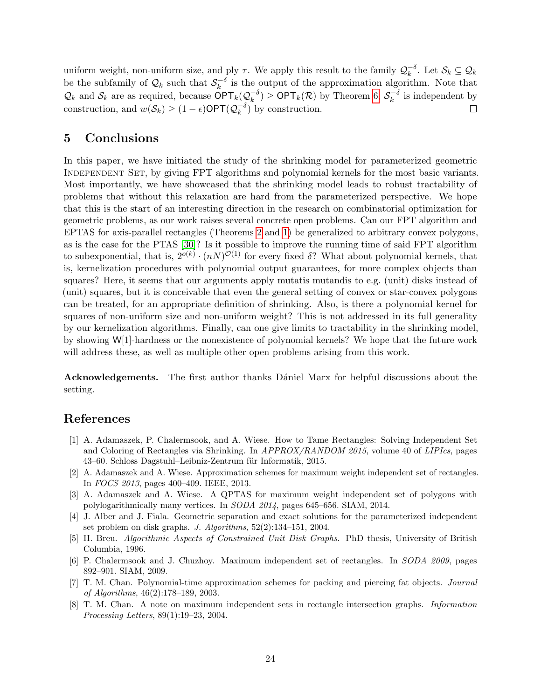uniform weight, non-uniform size, and ply  $\tau$ . We apply this result to the family  $\mathcal{Q}_k^{-\delta}$  $\overline{k}^o$ . Let  $\mathcal{S}_k \subseteq \mathcal{Q}_k$ be the subfamily of  $\mathcal{Q}_k$  such that  $\mathcal{S}_k^{-\delta}$  $\int_{k}^{-\delta}$  is the output of the approximation algorithm. Note that  $\mathcal{Q}_k$  and  $\mathcal{S}_k$  are as required, because  $\mathsf{OPT}_k(\mathcal{Q}_k^{-\delta})$  $(\overline{k}^{\delta}) \geq \mathsf{OPT}_k(\mathcal{R})$  by Theorem [6,](#page-18-3)  $\mathcal{S}_k^{-\delta}$  $\int_k^{-\delta}$  is independent by construction, and  $w(S_k) \geq (1 - \epsilon) \text{OPT}(\mathcal{Q}_k^{-\delta})$  $\Box$  $\binom{-\delta}{k}$  by construction.

## <span id="page-23-7"></span>5 Conclusions

In this paper, we have initiated the study of the shrinking model for parameterized geometric Independent Set, by giving FPT algorithms and polynomial kernels for the most basic variants. Most importantly, we have showcased that the shrinking model leads to robust tractability of problems that without this relaxation are hard from the parameterized perspective. We hope that this is the start of an interesting direction in the research on combinatorial optimization for geometric problems, as our work raises several concrete open problems. Can our FPT algorithm and EPTAS for axis-parallel rectangles (Theorems [2](#page-3-2) and [1\)](#page-3-3) be generalized to arbitrary convex polygons, as is the case for the PTAS [\[30\]](#page-24-9)? Is it possible to improve the running time of said FPT algorithm to subexponential, that is,  $2^{o(k)} \cdot (n)^{O(1)}$  for every fixed  $\delta$ ? What about polynomial kernels, that is, kernelization procedures with polynomial output guarantees, for more complex objects than squares? Here, it seems that our arguments apply mutatis mutandis to e.g. (unit) disks instead of (unit) squares, but it is conceivable that even the general setting of convex or star-convex polygons can be treated, for an appropriate definition of shrinking. Also, is there a polynomial kernel for squares of non-uniform size and non-uniform weight? This is not addressed in its full generality by our kernelization algorithms. Finally, can one give limits to tractability in the shrinking model, by showing W[1]-hardness or the nonexistence of polynomial kernels? We hope that the future work will address these, as well as multiple other open problems arising from this work.

Acknowledgements. The first author thanks Dániel Marx for helpful discussions about the setting.

# References

- <span id="page-23-2"></span>[1] A. Adamaszek, P. Chalermsook, and A. Wiese. How to Tame Rectangles: Solving Independent Set and Coloring of Rectangles via Shrinking. In APPROX/RANDOM 2015, volume 40 of LIPIcs, pages 43–60. Schloss Dagstuhl–Leibniz-Zentrum für Informatik, 2015.
- <span id="page-23-1"></span>[2] A. Adamaszek and A. Wiese. Approximation schemes for maximum weight independent set of rectangles. In FOCS 2013, pages 400–409. IEEE, 2013.
- <span id="page-23-4"></span>[3] A. Adamaszek and A. Wiese. A QPTAS for maximum weight independent set of polygons with polylogarithmically many vertices. In SODA 2014, pages 645–656. SIAM, 2014.
- <span id="page-23-5"></span>[4] J. Alber and J. Fiala. Geometric separation and exact solutions for the parameterized independent set problem on disk graphs. J. Algorithms, 52(2):134–151, 2004.
- <span id="page-23-8"></span>[5] H. Breu. Algorithmic Aspects of Constrained Unit Disk Graphs. PhD thesis, University of British Columbia, 1996.
- <span id="page-23-0"></span>[6] P. Chalermsook and J. Chuzhoy. Maximum independent set of rectangles. In SODA 2009, pages 892–901. SIAM, 2009.
- <span id="page-23-3"></span>[7] T. M. Chan. Polynomial-time approximation schemes for packing and piercing fat objects. Journal of Algorithms, 46(2):178–189, 2003.
- <span id="page-23-6"></span>[8] T. M. Chan. A note on maximum independent sets in rectangle intersection graphs. Information Processing Letters, 89(1):19–23, 2004.